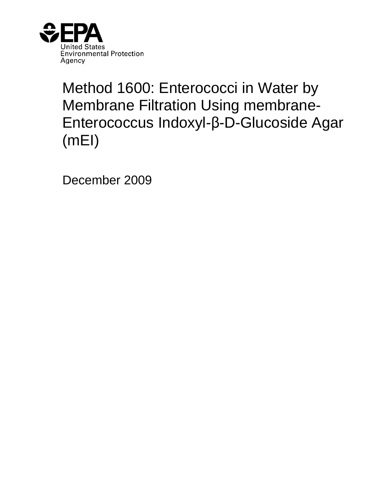

# Method 1600: Enterococci in Water by Membrane Filtration Using membrane-Enterococcus Indoxyl-\$-D-Glucoside Agar (mEI)

December 2009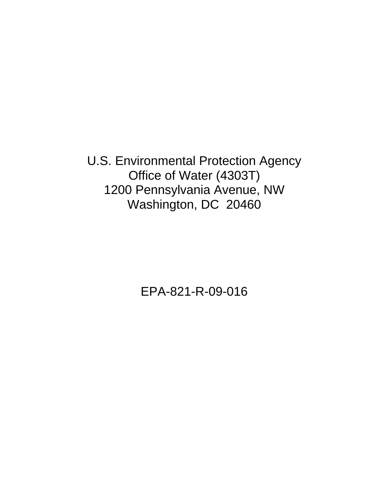U.S. Environmental Protection Agency Office of Water (4303T) 1200 Pennsylvania Avenue, NW Washington, DC 20460

EPA-821-R-09-016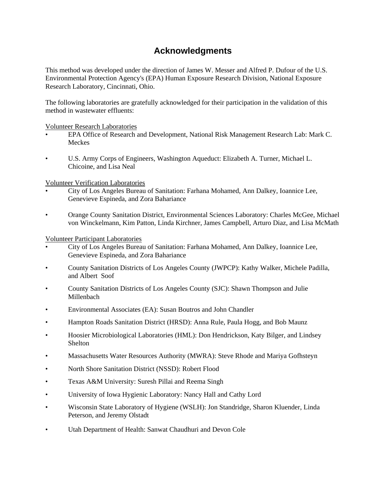## **Acknowledgments**

<span id="page-2-0"></span>This method was developed under the direction of James W. Messer and Alfred P. Dufour of the U.S. Environmental Protection Agency's (EPA) Human Exposure Research Division, National Exposure Research Laboratory, Cincinnati, Ohio.

The following laboratories are gratefully acknowledged for their participation in the validation of this method in wastewater effluents:

Volunteer Research Laboratories

- EPA Office of Research and Development, National Risk Management Research Lab: Mark C. Meckes
- • U.S. Army Corps of Engineers, Washington Aqueduct: Elizabeth A. Turner, Michael L. Chicoine, and Lisa Neal

Volunteer Verification Laboratories

- • City of Los Angeles Bureau of Sanitation: Farhana Mohamed, Ann Dalkey, Ioannice Lee, Genevieve Espineda, and Zora Bahariance
- • Orange County Sanitation District, Environmental Sciences Laboratory: Charles McGee, Michael von Winckelmann, Kim Patton, Linda Kirchner, James Campbell, Arturo Diaz, and Lisa McMath

Volunteer Participant Laboratories

- • City of Los Angeles Bureau of Sanitation: Farhana Mohamed, Ann Dalkey, Ioannice Lee, Genevieve Espineda, and Zora Bahariance
- • County Sanitation Districts of Los Angeles County (JWPCP): Kathy Walker, Michele Padilla, and Albert Soof
- • County Sanitation Districts of Los Angeles County (SJC): Shawn Thompson and Julie Millenbach
- • Environmental Associates (EA): Susan Boutros and John Chandler
- • Hampton Roads Sanitation District (HRSD): Anna Rule, Paula Hogg, and Bob Maunz
- • Hoosier Microbiological Laboratories (HML): Don Hendrickson, Katy Bilger, and Lindsey Shelton
- • Massachusetts Water Resources Authority (MWRA): Steve Rhode and Mariya Gofhsteyn
- • North Shore Sanitation District (NSSD): Robert Flood
- • Texas A&M University: Suresh Pillai and Reema Singh
- • University of Iowa Hygienic Laboratory: Nancy Hall and Cathy Lord
- • Wisconsin State Laboratory of Hygiene (WSLH): Jon Standridge, Sharon Kluender, Linda Peterson, and Jeremy Olstadt
- • Utah Department of Health: Sanwat Chaudhuri and Devon Cole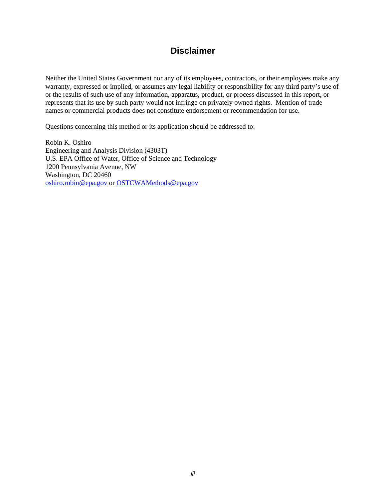### **Disclaimer**

<span id="page-3-0"></span>Neither the United States Government nor any of its employees, contractors, or their employees make any warranty, expressed or implied, or assumes any legal liability or responsibility for any third party's use of or the results of such use of any information, apparatus, product, or process discussed in this report, or represents that its use by such party would not infringe on privately owned rights. Mention of trade names or commercial products does not constitute endorsement or recommendation for use.

Questions concerning this method or its application should be addressed to:

Robin K. Oshiro Engineering and Analysis Division (4303T) U.S. EPA Office of Water, Office of Science and Technology 1200 Pennsylvania Avenue, NW Washington, DC 20460 oshiro.robin@epa.gov or OSTCWAMethods@epa.gov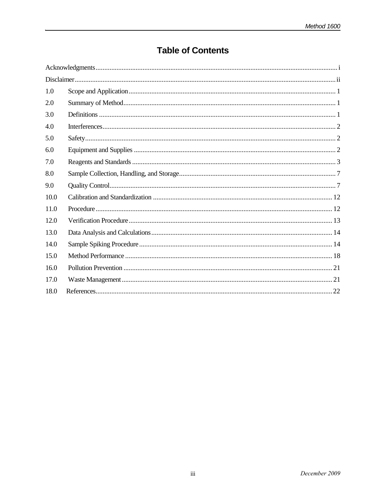# **Table of Contents**

| 1.0  |  |
|------|--|
| 2.0  |  |
| 3.0  |  |
| 4.0  |  |
| 5.0  |  |
| 6.0  |  |
| 7.0  |  |
| 8.0  |  |
| 9.0  |  |
| 10.0 |  |
| 11.0 |  |
| 12.0 |  |
| 13.0 |  |
| 14.0 |  |
| 15.0 |  |
| 16.0 |  |
| 17.0 |  |
| 18.0 |  |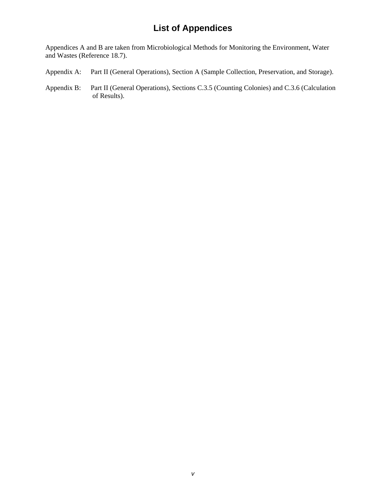### **List of Appendices**

Appendices A and B are taken from Microbiological Methods for Monitoring the Environment, Water and Wastes (Reference 18.7).

- Appendix A: Part II (General Operations), Section A (Sample Collection, Preservation, and Storage).
- [Appendix B: Part II \(General Operations\), Sections C.3.5 \(Counting Colonies\) and C.3.6 \(Calculation](#page-37-0) of Results).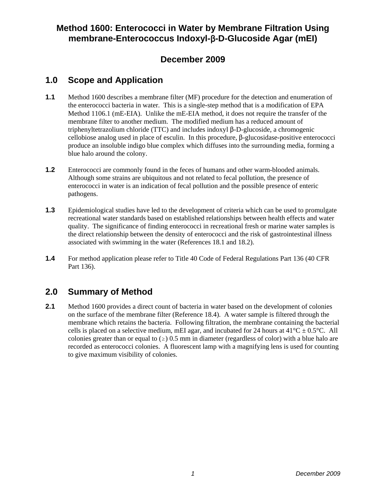### <span id="page-6-0"></span>**Method 1600: Enterococci in Water by Membrane Filtration Using membrane-Enterococcus Indoxyl-β-D-Glucoside Agar (mEI)**

### **December 2009**

### **1.0 Scope and Application**

- **1.1** Method 1600 describes a membrane filter (MF) procedure for the detection and enumeration of the enterococci bacteria in water. This is a single-step method that is a modification of EPA Method 1106.1 (mE-EIA). Unlike the mE-EIA method, it does not require the transfer of the membrane filter to another medium. The modified medium has a reduced amount of triphenyltetrazolium chloride (TTC) and includes indoxyl  $\beta$ -D-glucoside, a chromogenic cellobiose analog used in place of esculin. In this procedure,  $\beta$ -glucosidase-positive enterococci produce an insoluble indigo blue complex which diffuses into the surrounding media, forming a blue halo around the colony.
- **1.2** Enterococci are commonly found in the feces of humans and other warm-blooded animals. Although some strains are ubiquitous and not related to fecal pollution, the presence of enterococci in water is an indication of fecal pollution and the possible presence of enteric pathogens.
- **1.3** Epidemiological studies have led to the development of criteria which can be used to promulgate recreational water standards based on established relationships between health effects and water quality. The significance of finding enterococci in recreational fresh or marine water samples is the direct relationship between the density of enterococci and the risk of gastrointestinal illness associated with swimming in the water (References 18.1 and 18.2).
- **1.4** For method application please refer to Title 40 Code of Federal Regulations Part 136 (40 CFR Part 136).

### **2.0 Summary of Method**

**2.1** Method 1600 provides a direct count of bacteria in water based on the development of colonies on the surface of the membrane filter (Reference 18.4). A water sample is filtered through the membrane which retains the bacteria. Following filtration, the membrane containing the bacterial cells is placed on a selective medium, mEI agar, and incubated for 24 hours at  $41^{\circ}$ C  $\pm$  0.5°C. All colonies greater than or equal to  $(\ge)$  0.5 mm in diameter (regardless of color) with a blue halo are recorded as enterococci colonies. A fluorescent lamp with a magnifying lens is used for counting to give maximum visibility of colonies.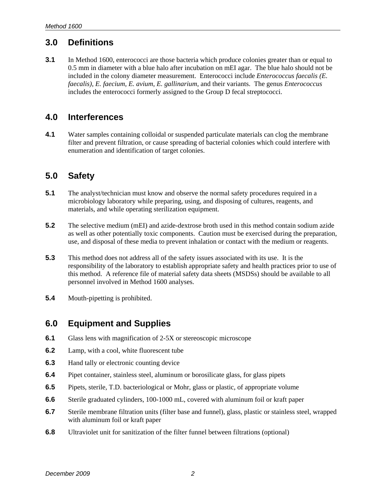### <span id="page-7-0"></span>**3.0 Definitions**

**3.1** In Method 1600, enterococci are those bacteria which produce colonies greater than or equal to 0.5 mm in diameter with a blue halo after incubation on mEI agar. The blue halo should not be included in the colony diameter measurement. Enterococci include *Enterococcus faecalis (E. faecalis)*, *E. faecium*, *E. avium*, *E. gallinarium*, and their variants. The genus *Enterococcus* includes the enterococci formerly assigned to the Group D fecal streptococci.

### **4.0 Interferences**

**4.1** Water samples containing colloidal or suspended particulate materials can clog the membrane filter and prevent filtration, or cause spreading of bacterial colonies which could interfere with enumeration and identification of target colonies.

### **5.0 Safety**

- **5.1** The analyst/technician must know and observe the normal safety procedures required in a microbiology laboratory while preparing, using, and disposing of cultures, reagents, and materials, and while operating sterilization equipment.
- **5.2** The selective medium (mEI) and azide-dextrose broth used in this method contain sodium azide as well as other potentially toxic components. Caution must be exercised during the preparation, use, and disposal of these media to prevent inhalation or contact with the medium or reagents.
- **5.3** This method does not address all of the safety issues associated with its use. It is the responsibility of the laboratory to establish appropriate safety and health practices prior to use of this method. A reference file of material safety data sheets (MSDSs) should be available to all personnel involved in Method 1600 analyses.
- **5.4** Mouth-pipetting is prohibited.

### **6.0 Equipment and Supplies**

- **6.1** Glass lens with magnification of 2-5X or stereoscopic microscope
- **6.2** Lamp, with a cool, white fluorescent tube
- **6.3** Hand tally or electronic counting device
- **6.4** Pipet container, stainless steel, aluminum or borosilicate glass, for glass pipets
- **6.5** Pipets, sterile, T.D. bacteriological or Mohr, glass or plastic, of appropriate volume
- **6.6** Sterile graduated cylinders, 100-1000 mL, covered with aluminum foil or kraft paper
- **6.7** Sterile membrane filtration units (filter base and funnel), glass, plastic or stainless steel, wrapped with aluminum foil or kraft paper
- **6.8** Ultraviolet unit for sanitization of the filter funnel between filtrations (optional)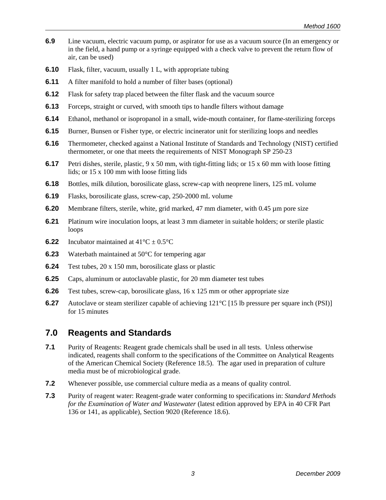- <span id="page-8-0"></span>**6.9** Line vacuum, electric vacuum pump, or aspirator for use as a vacuum source (In an emergency or in the field, a hand pump or a syringe equipped with a check valve to prevent the return flow of air, can be used)
- **6.10** Flask, filter, vacuum, usually 1 L, with appropriate tubing
- **6.11** A filter manifold to hold a number of filter bases (optional)
- **6.12** Flask for safety trap placed between the filter flask and the vacuum source
- **6.13** Forceps, straight or curved, with smooth tips to handle filters without damage
- **6.14** Ethanol, methanol or isopropanol in a small, wide-mouth container, for flame-sterilizing forceps
- **6.15** Burner, Bunsen or Fisher type, or electric incinerator unit for sterilizing loops and needles
- **6.16** Thermometer, checked against a National Institute of Standards and Technology (NIST) certified thermometer, or one that meets the requirements of NIST Monograph SP 250-23
- **6.17** Petri dishes, sterile, plastic, 9 x 50 mm, with tight-fitting lids; or 15 x 60 mm with loose fitting lids; or 15 x 100 mm with loose fitting lids
- **6.18** Bottles, milk dilution, borosilicate glass, screw-cap with neoprene liners, 125 mL volume
- **6.19** Flasks, borosilicate glass, screw-cap, 250-2000 mL volume
- **6.20** Membrane filters, sterile, white, grid marked, 47 mm diameter, with 0.45 µm pore size
- **6.21** Platinum wire inoculation loops, at least 3 mm diameter in suitable holders; or sterile plastic loops
- **6.22** Incubator maintained at  $41^{\circ}C \pm 0.5^{\circ}C$
- **6.23** Waterbath maintained at 50°C for tempering agar
- **6.24** Test tubes, 20 x 150 mm, borosilicate glass or plastic
- **6.25** Caps, aluminum or autoclavable plastic, for 20 mm diameter test tubes
- **6.26** Test tubes, screw-cap, borosilicate glass, 16 x 125 mm or other appropriate size
- **6.27** Autoclave or steam sterilizer capable of achieving 121<sup>°</sup>C [15 lb pressure per square inch (PSI)] for 15 minutes

### **7.0 Reagents and Standards**

- **7.1** Purity of Reagents: Reagent grade chemicals shall be used in all tests. Unless otherwise indicated, reagents shall conform to the specifications of the Committee on Analytical Reagents of the American Chemical Society (Reference 18.5). The agar used in preparation of culture media must be of microbiological grade.
- **7.2** Whenever possible, use commercial culture media as a means of quality control.
- **7.3** Purity of reagent water: Reagent-grade water conforming to specifications in: *Standard Methods for the Examination of Water and Wastewater* (latest edition approved by EPA in 40 CFR Part 136 or 141, as applicable), Section 9020 (Reference 18.6).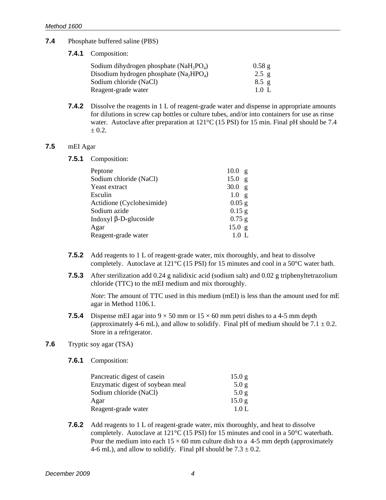#### **7.4** Phosphate buffered saline (PBS)

**7.4.1** Composition:

| Sodium dihydrogen phosphate (NaH <sub>2</sub> PO <sub>4</sub> ) | 0.58g           |
|-----------------------------------------------------------------|-----------------|
| Disodium hydrogen phosphate $(Na, HPO_{A})$                     | $2.5 \text{ g}$ |
| Sodium chloride (NaCl)                                          | $8.5 \text{ g}$ |
| Reagent-grade water                                             | 1.0 L           |

**7.4.2** Dissolve the reagents in 1 L of reagent-grade water and dispense in appropriate amounts for dilutions in screw cap bottles or culture tubes, and/or into containers for use as rinse water. Autoclave after preparation at 121<sup>o</sup>C (15 PSI) for 15 min. Final pH should be 7.4  $± 0.2.$ 

#### **7.5** mEI Agar

**7.5.1** Composition:

| Peptone                   | 10.0<br>$\mathbf{g}$ |
|---------------------------|----------------------|
| Sodium chloride (NaCl)    | 15.0<br>$\mathbf{g}$ |
| Yeast extract             | 30.0<br>$\mathbf{g}$ |
| Esculin                   | 1.0<br>$\mathbf{g}$  |
| Actidione (Cycloheximide) | $0.05$ g             |
| Sodium azide              | $0.15$ g             |
| Indoxyl β-D-glucoside     | $0.75$ g             |
| Agar                      | 15.0 g               |
| Reagent-grade water       | 1.0 L                |
|                           |                      |

- **7.5.2** Add reagents to 1 L of reagent-grade water, mix thoroughly, and heat to dissolve completely. Autoclave at 121°C (15 PSI) for 15 minutes and cool in a 50°C water bath.
- **7.5.3** After sterilization add 0.24 g nalidixic acid (sodium salt) and 0.02 g triphenyltetrazolium chloride (TTC) to the mEI medium and mix thoroughly.

*Note*: The amount of TTC used in this medium (mEI) is less than the amount used for mE agar in Method 1106.1.

**7.5.4** Dispense mEI agar into  $9 \times 50$  mm or  $15 \times 60$  mm petri dishes to a 4-5 mm depth (approximately 4-6 mL), and allow to solidify. Final pH of medium should be  $7.1 \pm 0.2$ . Store in a refrigerator.

### **7.6** Tryptic soy agar (TSA)

**7.6.1** Composition:

| Pancreatic digest of casein      | 15.0 g |
|----------------------------------|--------|
| Enzymatic digest of soybean meal | 5.0 g  |
| Sodium chloride (NaCl)           | 5.0 g  |
| Agar                             | 15.0 g |
| Reagent-grade water              | 1.0 L  |

**7.6.2** Add reagents to 1 L of reagent-grade water, mix thoroughly, and heat to dissolve completely. Autoclave at 121°C (15 PSI) for 15 minutes and cool in a 50°C waterbath. Pour the medium into each  $15 \times 60$  mm culture dish to a 4-5 mm depth (approximately 4-6 mL), and allow to solidify. Final pH should be  $7.3 \pm 0.2$ .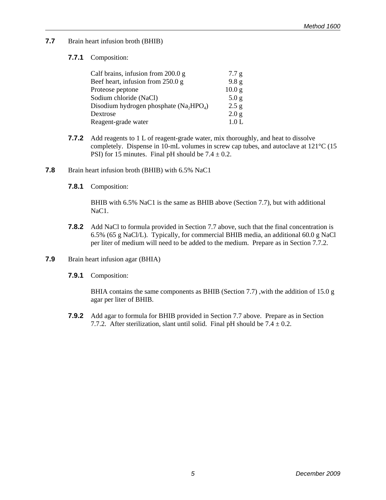**7.7** Brain heart infusion broth (BHIB)

### **7.7.1** Composition:

| Calf brains, infusion from $200.0 g$      | 7.7 g             |
|-------------------------------------------|-------------------|
| Beef heart, infusion from 250.0 g         | 9.8 <sub>g</sub>  |
| Proteose peptone                          | 10.0 <sub>g</sub> |
| Sodium chloride (NaCl)                    | 5.0 <sub>g</sub>  |
| Disodium hydrogen phosphate $(Na_2HPO_4)$ | 2.5 g             |
| Dextrose                                  | 2.0 <sub>g</sub>  |
| Reagent-grade water                       | 1.0 <sub>L</sub>  |
|                                           |                   |

- **7.7.2** Add reagents to 1 L of reagent-grade water, mix thoroughly, and heat to dissolve completely. Dispense in 10-mL volumes in screw cap tubes, and autoclave at 121°C (15 PSI) for 15 minutes. Final pH should be  $7.4 \pm 0.2$ .
- **7.8** Brain heart infusion broth (BHIB) with 6.5% NaC1
	- **7.8.1** Composition:

BHIB with 6.5% NaC1 is the same as BHIB above (Section 7.7), but with additional NaC<sub>1</sub>.

- **7.8.2** Add NaCl to formula provided in Section 7.7 above, such that the final concentration is 6.5% (65 g NaCl/L). Typically, for commercial BHIB media, an additional 60.0 g NaCl per liter of medium will need to be added to the medium. Prepare as in Section 7.7.2.
- **7.9** Brain heart infusion agar (BHIA)
	- **7.9.1** Composition:

BHIA contains the same components as BHIB (Section 7.7) ,with the addition of 15.0 g agar per liter of BHIB.

**7.9.2** Add agar to formula for BHIB provided in Section 7.7 above. Prepare as in Section 7.7.2. After sterilization, slant until solid. Final pH should be  $7.4 \pm 0.2$ .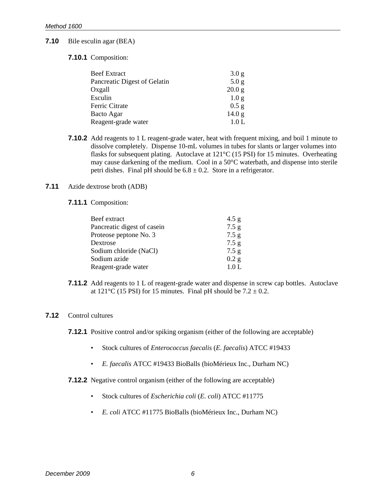#### **7.10** Bile esculin agar (BEA)

#### **7.10.1** Composition:

| <b>Beef Extract</b>          | 3.0 <sub>g</sub>  |
|------------------------------|-------------------|
| Pancreatic Digest of Gelatin | 5.0 <sub>g</sub>  |
| Oxgall                       | 20.0 <sub>g</sub> |
| Esculin                      | 1.0 <sub>g</sub>  |
| Ferric Citrate               | $0.5$ g           |
| Bacto Agar                   | 14.0 <sub>g</sub> |
| Reagent-grade water          | 1.0 L             |

**7.10.2** Add reagents to 1 L reagent-grade water, heat with frequent mixing, and boil 1 minute to dissolve completely. Dispense 10-mL volumes in tubes for slants or larger volumes into flasks for subsequent plating. Autoclave at 121°C (15 PSI) for 15 minutes. Overheating may cause darkening of the medium. Cool in a 50°C waterbath, and dispense into sterile petri dishes. Final pH should be  $6.8 \pm 0.2$ . Store in a refrigerator.

#### **7.11** Azide dextrose broth (ADB)

**7.11.1** Composition:

| 4.5 g |
|-------|
| 7.5 g |
| 7.5 g |
| 7.5 g |
| 7.5 g |
| 0.2 g |
| 1.0 L |
|       |

**7.11.2** Add reagents to 1 L of reagent-grade water and dispense in screw cap bottles. Autoclave at  $121^{\circ}$ C (15 PSI) for 15 minutes. Final pH should be  $7.2 \pm 0.2$ .

#### **7.12** Control cultures

- **7.12.1** Positive control and/or spiking organism (either of the following are acceptable)
	- Stock cultures of *Enterococcus faecalis* (*E. faecalis*) ATCC #19433
	- *E. faecalis* ATCC #19433 BioBalls (bioMérieux Inc., Durham NC)
- **7.12.2** Negative control organism (either of the following are acceptable)
	- Stock cultures of *Escherichia coli* (*E. coli*) ATCC #11775
	- *E. coli* ATCC #11775 BioBalls (bioMérieux Inc., Durham NC)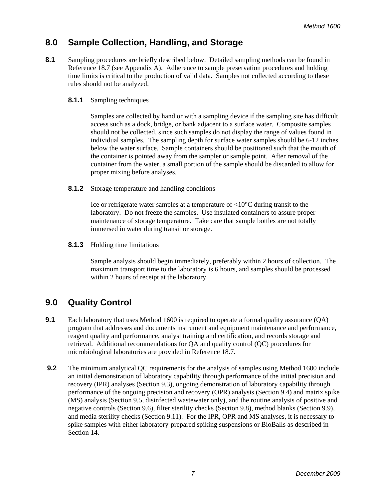### <span id="page-12-0"></span>**8.0 Sample Collection, Handling, and Storage**

8.1 Sampling procedures are briefly described below. Detailed sampling methods can be found in Reference 18.7 (see Appendix A). Adherence to sample preservation procedures and holding time limits is critical to the production of valid data. Samples not collected according to these rules should not be analyzed.

### **8.1.1** Sampling techniques

Samples are collected by hand or with a sampling device if the sampling site has difficult access such as a dock, bridge, or bank adjacent to a surface water. Composite samples should not be collected, since such samples do not display the range of values found in individual samples. The sampling depth for surface water samples should be 6-12 inches below the water surface. Sample containers should be positioned such that the mouth of the container is pointed away from the sampler or sample point. After removal of the container from the water, a small portion of the sample should be discarded to allow for proper mixing before analyses.

**8.1.2** Storage temperature and handling conditions

Ice or refrigerate water samples at a temperature of <10°C during transit to the laboratory. Do not freeze the samples. Use insulated containers to assure proper maintenance of storage temperature. Take care that sample bottles are not totally immersed in water during transit or storage.

**8.1.3** Holding time limitations

Sample analysis should begin immediately, preferably within 2 hours of collection. The maximum transport time to the laboratory is 6 hours, and samples should be processed within 2 hours of receipt at the laboratory.

### **9.0 Quality Control**

- **9.1** Each laboratory that uses Method 1600 is required to operate a formal quality assurance (QA) program that addresses and documents instrument and equipment maintenance and performance, reagent quality and performance, analyst training and certification, and records storage and retrieval. Additional recommendations for QA and quality control (QC) procedures for microbiological laboratories are provided in Reference 18.7.
- **9.2** The minimum analytical QC requirements for the analysis of samples using Method 1600 include an initial demonstration of laboratory capability through performance of the initial precision and recovery (IPR) analyses (Section 9.3), ongoing demonstration of laboratory capability through performance of the ongoing precision and recovery (OPR) analysis (Section 9.4) and matrix spike (MS) analysis (Section 9.5, disinfected wastewater only), and the routine analysis of positive and negative controls (Section 9.6), filter sterility checks (Section 9.8), method blanks (Section 9.9), and media sterility checks (Section 9.11). For the IPR, OPR and MS analyses, it is necessary to spike samples with either laboratory-prepared spiking suspensions or BioBalls as described in Section 14.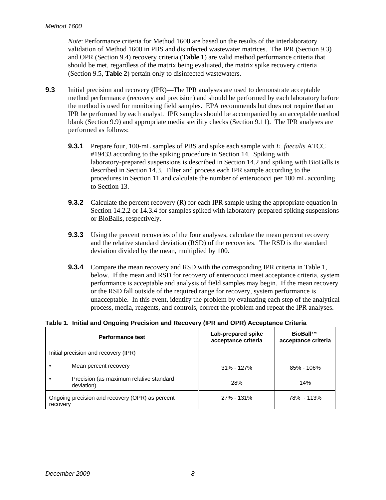*Note*: Performance criteria for Method 1600 are based on the results of the interlaboratory validation of Method 1600 in PBS and disinfected wastewater matrices. The IPR (Section 9.3) and OPR (Section 9.4) recovery criteria (**Table 1**) are valid method performance criteria that should be met, regardless of the matrix being evaluated, the matrix spike recovery criteria (Section 9.5, **Table 2**) pertain only to disinfected wastewaters.

- **9.3** Initial precision and recovery (IPR)—The IPR analyses are used to demonstrate acceptable method performance (recovery and precision) and should be performed by each laboratory before the method is used for monitoring field samples. EPA recommends but does not require that an IPR be performed by each analyst. IPR samples should be accompanied by an acceptable method blank (Section 9.9) and appropriate media sterility checks (Section 9.11). The IPR analyses are performed as follows:
	- **9.3.1** Prepare four, 100-mL samples of PBS and spike each sample with *E. faecalis* ATCC #19433 according to the spiking procedure in Section 14. Spiking with laboratory-prepared suspensions is described in Section 14.2 and spiking with BioBalls is described in Section 14.3. Filter and process each IPR sample according to the procedures in Section 11 and calculate the number of enterococci per 100 mL according to Section 13.
	- **9.3.2** Calculate the percent recovery (R) for each IPR sample using the appropriate equation in Section 14.2.2 or 14.3.4 for samples spiked with laboratory-prepared spiking suspensions or BioBalls, respectively.
	- **9.3.3** Using the percent recoveries of the four analyses, calculate the mean percent recovery and the relative standard deviation (RSD) of the recoveries. The RSD is the standard deviation divided by the mean, multiplied by 100.
	- **9.3.4** Compare the mean recovery and RSD with the corresponding IPR criteria in Table 1, below. If the mean and RSD for recovery of enterococci meet acceptance criteria, system performance is acceptable and analysis of field samples may begin. If the mean recovery or the RSD fall outside of the required range for recovery, system performance is unacceptable. In this event, identify the problem by evaluating each step of the analytical process, media, reagents, and controls, correct the problem and repeat the IPR analyses.

#### **Table 1. Initial and Ongoing Precision and Recovery (IPR and OPR) Acceptance Criteria**

| <b>Performance test</b>                                     |                                                       | Lab-prepared spike<br>acceptance criteria | BioBall™<br>acceptance criteria |  |
|-------------------------------------------------------------|-------------------------------------------------------|-------------------------------------------|---------------------------------|--|
| Initial precision and recovery (IPR)                        |                                                       |                                           |                                 |  |
|                                                             | Mean percent recovery                                 | $31\% - 127\%$                            | $85\% - 106\%$                  |  |
|                                                             | Precision (as maximum relative standard<br>deviation) | 28%                                       | 14%                             |  |
| Ongoing precision and recovery (OPR) as percent<br>recovery |                                                       | 27% - 131%                                | 78% - 113%                      |  |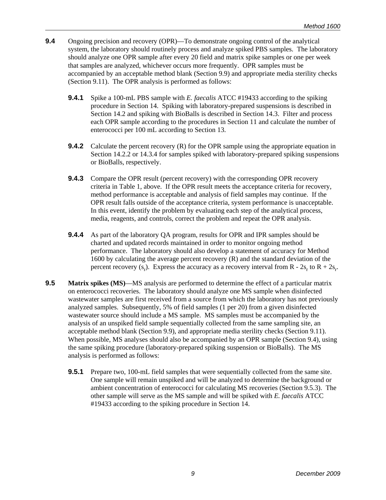- **9.4** Ongoing precision and recovery (OPR)—To demonstrate ongoing control of the analytical system, the laboratory should routinely process and analyze spiked PBS samples. The laboratory should analyze one OPR sample after every 20 field and matrix spike samples or one per week that samples are analyzed, whichever occurs more frequently. OPR samples must be accompanied by an acceptable method blank (Section 9.9) and appropriate media sterility checks (Section 9.11). The OPR analysis is performed as follows:
	- **9.4.1** Spike a 100-mL PBS sample with *E. faecalis* ATCC #19433 according to the spiking procedure in Section 14. Spiking with laboratory-prepared suspensions is described in Section 14.2 and spiking with BioBalls is described in Section 14.3. Filter and process each OPR sample according to the procedures in Section 11 and calculate the number of enterococci per 100 mL according to Section 13.
	- **9.4.2** Calculate the percent recovery (R) for the OPR sample using the appropriate equation in Section 14.2.2 or 14.3.4 for samples spiked with laboratory-prepared spiking suspensions or BioBalls, respectively.
	- **9.4.3** Compare the OPR result (percent recovery) with the corresponding OPR recovery criteria in Table 1, above. If the OPR result meets the acceptance criteria for recovery, method performance is acceptable and analysis of field samples may continue. If the OPR result falls outside of the acceptance criteria, system performance is unacceptable. In this event, identify the problem by evaluating each step of the analytical process, media, reagents, and controls, correct the problem and repeat the OPR analysis.
	- **9.4.4** As part of the laboratory QA program, results for OPR and IPR samples should be charted and updated records maintained in order to monitor ongoing method performance. The laboratory should also develop a statement of accuracy for Method 1600 by calculating the average percent recovery (R) and the standard deviation of the percent recovery  $(s_r)$ . Express the accuracy as a recovery interval from R -  $2s_r$  to R +  $2s_r$ .
- **9.5 Matrix spikes (MS)—MS** analysis are performed to determine the effect of a particular matrix on enterococci recoveries. The laboratory should analyze one MS sample when disinfected wastewater samples are first received from a source from which the laboratory has not previously analyzed samples. Subsequently, 5% of field samples (1 per 20) from a given disinfected wastewater source should include a MS sample. MS samples must be accompanied by the analysis of an unspiked field sample sequentially collected from the same sampling site, an acceptable method blank (Section 9.9), and appropriate media sterility checks (Section 9.11). When possible, MS analyses should also be accompanied by an OPR sample (Section 9.4), using the same spiking procedure (laboratory-prepared spiking suspension or BioBalls). The MS analysis is performed as follows:
	- **9.5.1** Prepare two, 100-mL field samples that were sequentially collected from the same site. One sample will remain unspiked and will be analyzed to determine the background or ambient concentration of enterococci for calculating MS recoveries (Section 9.5.3). The other sample will serve as the MS sample and will be spiked with *E. faecalis* ATCC #19433 according to the spiking procedure in Section 14.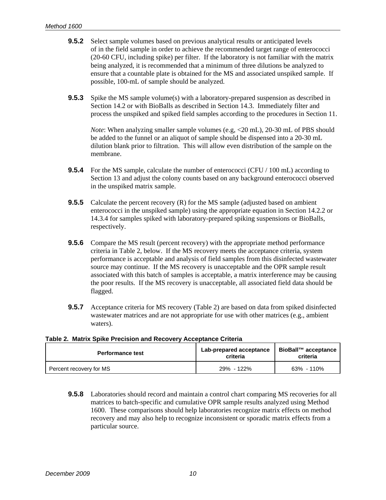- **9.5.2** Select sample volumes based on previous analytical results or anticipated levels of in the field sample in order to achieve the recommended target range of enterococci (20-60 CFU, including spike) per filter. If the laboratory is not familiar with the matrix being analyzed, it is recommended that a minimum of three dilutions be analyzed to ensure that a countable plate is obtained for the MS and associated unspiked sample. If possible, 100-mL of sample should be analyzed.
- **9.5.3** Spike the MS sample volume(s) with a laboratory-prepared suspension as described in Section 14.2 or with BioBalls as described in Section 14.3. Immediately filter and process the unspiked and spiked field samples according to the procedures in Section 11.

*Note*: When analyzing smaller sample volumes (e.g,  $\langle 20 \text{ mL} \rangle$ , 20-30 mL of PBS should be added to the funnel or an aliquot of sample should be dispensed into a 20-30 mL dilution blank prior to filtration. This will allow even distribution of the sample on the membrane.

- **9.5.4** For the MS sample, calculate the number of enterococci (CFU / 100 mL) according to Section 13 and adjust the colony counts based on any background enterococci observed in the unspiked matrix sample.
- **9.5.5** Calculate the percent recovery (R) for the MS sample (adjusted based on ambient enterococci in the unspiked sample) using the appropriate equation in Section 14.2.2 or 14.3.4 for samples spiked with laboratory-prepared spiking suspensions or BioBalls, respectively.
- **9.5.6** Compare the MS result (percent recovery) with the appropriate method performance criteria in Table 2, below. If the MS recovery meets the acceptance criteria, system performance is acceptable and analysis of field samples from this disinfected wastewater source may continue. If the MS recovery is unacceptable and the OPR sample result associated with this batch of samples is acceptable, a matrix interference may be causing the poor results. If the MS recovery is unacceptable, all associated field data should be flagged.
- **9.5.7** Acceptance criteria for MS recovery (Table 2) are based on data from spiked disinfected wastewater matrices and are not appropriate for use with other matrices (e.g., ambient waters).

| Table 2. Matrix Spike Precision and Recovery Acceptance Criteria |  |
|------------------------------------------------------------------|--|
|------------------------------------------------------------------|--|

| <b>Performance test</b> | Lab-prepared acceptance<br>criteria | BioBall™ acceptance<br>criteria |
|-------------------------|-------------------------------------|---------------------------------|
| Percent recovery for MS | 29% - 122%                          | 63% - 110%                      |

**9.5.8** Laboratories should record and maintain a control chart comparing MS recoveries for all matrices to batch-specific and cumulative OPR sample results analyzed using Method 1600. These comparisons should help laboratories recognize matrix effects on method recovery and may also help to recognize inconsistent or sporadic matrix effects from a particular source.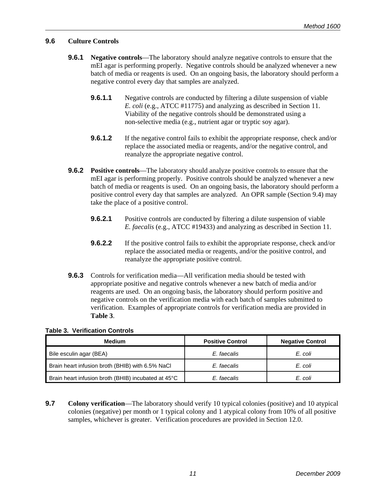### **9.6 Culture Controls**

- **9.6.1 Negative controls**—The laboratory should analyze negative controls to ensure that the mEI agar is performing properly. Negative controls should be analyzed whenever a new batch of media or reagents is used. On an ongoing basis, the laboratory should perform a negative control every day that samples are analyzed.
	- **9.6.1.1** Negative controls are conducted by filtering a dilute suspension of viable *E. coli* (e.g., ATCC #11775) and analyzing as described in Section 11. Viability of the negative controls should be demonstrated using a non-selective media (e.g., nutrient agar or tryptic soy agar).
	- **9.6.1.2** If the negative control fails to exhibit the appropriate response, check and/or replace the associated media or reagents, and/or the negative control, and reanalyze the appropriate negative control.
- **9.6.2 Positive controls**—The laboratory should analyze positive controls to ensure that the mEI agar is performing properly. Positive controls should be analyzed whenever a new batch of media or reagents is used. On an ongoing basis, the laboratory should perform a positive control every day that samples are analyzed. An OPR sample (Section 9.4) may take the place of a positive control.
	- **9.6.2.1** Positive controls are conducted by filtering a dilute suspension of viable *E. faecalis* (e.g., ATCC #19433) and analyzing as described in Section 11.
	- **9.6.2.2** If the positive control fails to exhibit the appropriate response, check and/or replace the associated media or reagents, and/or the positive control, and reanalyze the appropriate positive control.
- **9.6.3** Controls for verification media—All verification media should be tested with appropriate positive and negative controls whenever a new batch of media and/or reagents are used. On an ongoing basis, the laboratory should perform positive and negative controls on the verification media with each batch of samples submitted to verification. Examples of appropriate controls for verification media are provided in **Table 3**.

**Table 3. Verification Controls** 

| <b>Medium</b>                                       | <b>Positive Control</b> | <b>Negative Control</b> |
|-----------------------------------------------------|-------------------------|-------------------------|
| Bile esculin agar (BEA)                             | E. faecalis             | E. coli                 |
| Brain heart infusion broth (BHIB) with 6.5% NaCl    | E. faecalis             | E. coli                 |
| Brain heart infusion broth (BHIB) incubated at 45°C | E. faecalis             | E. coli                 |

**9.7 Colony verification—The laboratory should verify 10 typical colonies (positive) and 10 atypical** colonies (negative) per month or 1 typical colony and 1 atypical colony from 10% of all positive samples, whichever is greater. Verification procedures are provided in Section 12.0.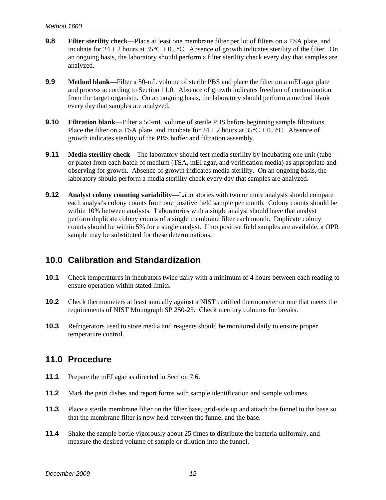- <span id="page-17-0"></span>**9.8 Filter sterility check**—Place at least one membrane filter per lot of filters on a TSA plate, and incubate for  $24 \pm 2$  hours at  $35^{\circ}\text{C} \pm 0.5^{\circ}\text{C}$ . Absence of growth indicates sterility of the filter. On an ongoing basis, the laboratory should perform a filter sterility check every day that samples are analyzed.
- **9.9 Method blank**—Filter a 50-mL volume of sterile PBS and place the filter on a mEI agar plate and process according to Section 11.0. Absence of growth indicates freedom of contamination from the target organism. On an ongoing basis, the laboratory should perform a method blank every day that samples are analyzed.
- **9.10 Filtration blank—Filter a 50-mL volume of sterile PBS before beginning sample filtrations.** Place the filter on a TSA plate, and incubate for  $24 \pm 2$  hours at  $35^{\circ}C \pm 0.5^{\circ}C$ . Absence of growth indicates sterility of the PBS buffer and filtration assembly.
- **9.11** Media sterility check—The laboratory should test media sterility by incubating one unit (tube or plate) from each batch of medium (TSA, mEI agar, and verification media) as appropriate and observing for growth. Absence of growth indicates media sterility. On an ongoing basis, the laboratory should perform a media sterility check every day that samples are analyzed.
- **9.12 Analyst colony counting variability**—Laboratories with two or more analysts should compare each analyst's colony counts from one positive field sample per month. Colony counts should be within 10% between analysts. Laboratories with a single analyst should have that analyst perform duplicate colony counts of a single membrane filter each month. Duplicate colony counts should be within 5% for a single analyst. If no positive field samples are available, a OPR sample may be substituted for these determinations.

### **10.0 Calibration and Standardization**

- **10.1** Check temperatures in incubators twice daily with a minimum of 4 hours between each reading to ensure operation within stated limits.
- **10.2** Check thermometers at least annually against a NIST certified thermometer or one that meets the requirements of NIST Monograph SP 250-23. Check mercury columns for breaks.
- **10.3** Refrigerators used to store media and reagents should be monitored daily to ensure proper temperature control.

### **11.0 Procedure**

- **11.1** Prepare the mEI agar as directed in Section 7.6.
- **11.2** Mark the petri dishes and report forms with sample identification and sample volumes.
- **11.3** Place a sterile membrane filter on the filter base, grid-side up and attach the funnel to the base so that the membrane filter is now held between the funnel and the base.
- **11.4** Shake the sample bottle vigorously about 25 times to distribute the bacteria uniformly, and measure the desired volume of sample or dilution into the funnel.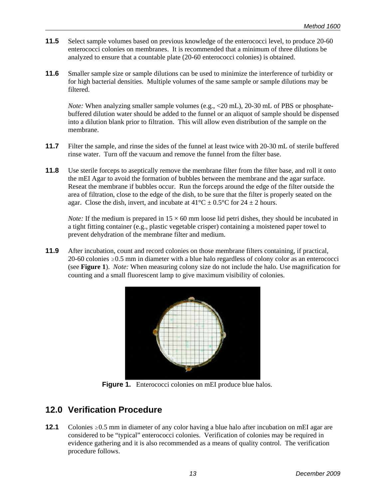- <span id="page-18-0"></span>**11.5** Select sample volumes based on previous knowledge of the enterococci level, to produce 20-60 enterococci colonies on membranes. It is recommended that a minimum of three dilutions be analyzed to ensure that a countable plate (20-60 enterococci colonies) is obtained.
- **11.6** Smaller sample size or sample dilutions can be used to minimize the interference of turbidity or for high bacterial densities. Multiple volumes of the same sample or sample dilutions may be filtered.

*Note:* When analyzing smaller sample volumes (e.g., <20 mL), 20-30 mL of PBS or phosphatebuffered dilution water should be added to the funnel or an aliquot of sample should be dispensed into a dilution blank prior to filtration. This will allow even distribution of the sample on the membrane.

- **11.7** Filter the sample, and rinse the sides of the funnel at least twice with 20-30 mL of sterile buffered rinse water. Turn off the vacuum and remove the funnel from the filter base.
- **11.8** Use sterile forceps to aseptically remove the membrane filter from the filter base, and roll it onto the mEI Agar to avoid the formation of bubbles between the membrane and the agar surface. Reseat the membrane if bubbles occur. Run the forceps around the edge of the filter outside the area of filtration, close to the edge of the dish, to be sure that the filter is properly seated on the agar. Close the dish, invert, and incubate at  $41^{\circ}$ C  $\pm$  0.5°C for 24  $\pm$  2 hours.

*Note:* If the medium is prepared in  $15 \times 60$  mm loose lid petri dishes, they should be incubated in a tight fitting container (e.g., plastic vegetable crisper) containing a moistened paper towel to prevent dehydration of the membrane filter and medium.

**11.9** After incubation, count and record colonies on those membrane filters containing, if practical, 20-60 colonies  $\geq 0.5$  mm in diameter with a blue halo regardless of colony color as an enterococci (see **Figure 1**). *Note:* When measuring colony size do not include the halo. Use magnification for counting and a small fluorescent lamp to give maximum visibility of colonies.



**Figure 1.** Enterococci colonies on mEI produce blue halos.

### **12.0 Verification Procedure**

**12.1** Colonies  $\geq 0.5$  mm in diameter of any color having a blue halo after incubation on mEI agar are considered to be "typical" enterococci colonies. Verification of colonies may be required in evidence gathering and it is also recommended as a means of quality control. The verification procedure follows.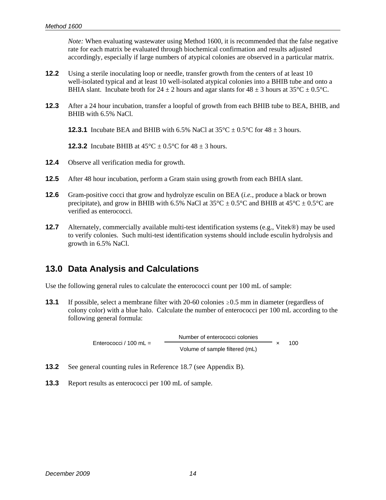<span id="page-19-0"></span>*Note:* When evaluating wastewater using Method 1600, it is recommended that the false negative rate for each matrix be evaluated through biochemical confirmation and results adjusted accordingly, especially if large numbers of atypical colonies are observed in a particular matrix.

- **12.2** Using a sterile inoculating loop or needle, transfer growth from the centers of at least 10 well-isolated typical and at least 10 well-isolated atypical colonies into a BHIB tube and onto a BHIA slant. Incubate broth for  $24 \pm 2$  hours and agar slants for  $48 \pm 3$  hours at  $35^{\circ}C \pm 0.5^{\circ}C$ .
- **12.3** After a 24 hour incubation, transfer a loopful of growth from each BHIB tube to BEA, BHIB, and BHIB with 6.5% NaCl.

**12.3.1** Incubate BEA and BHIB with 6.5% NaCl at  $35^{\circ}C \pm 0.5^{\circ}C$  for  $48 \pm 3$  hours.

**12.3.2** Incubate BHIB at  $45^{\circ}C \pm 0.5^{\circ}C$  for  $48 \pm 3$  hours.

- **12.4** Observe all verification media for growth.
- **12.5** After 48 hour incubation, perform a Gram stain using growth from each BHIA slant.
- **12.6** Gram-positive cocci that grow and hydrolyze esculin on BEA (*i.e.*, produce a black or brown precipitate), and grow in BHIB with 6.5% NaCl at  $35^{\circ}$ C  $\pm$  0.5°C and BHIB at  $45^{\circ}$ C  $\pm$  0.5°C are verified as enterococci.
- **12.7** Alternately, commercially available multi-test identification systems (e.g., Vitek®) may be used to verify colonies. Such multi-test identification systems should include esculin hydrolysis and growth in 6.5% NaCl.

### **13.0 Data Analysis and Calculations**

Use the following general rules to calculate the enterococci count per 100 mL of sample:

**13.1** If possible, select a membrane filter with 20-60 colonies  $\geq 0.5$  mm in diameter (regardless of colony color) with a blue halo. Calculate the number of enterococci per 100 mL according to the following general formula:

> Number of enterococci colonies Enterococci / 100 mL = Volume of sample filtered (mL) × 100

- **13.2** See general counting rules in Reference 18.7 (see Appendix B).
- **13.3** Report results as enterococci per 100 mL of sample.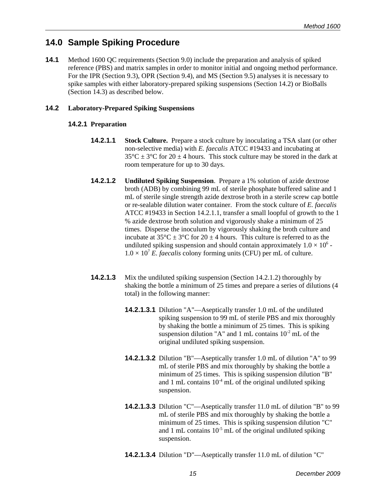### <span id="page-20-0"></span>**14.0 Sample Spiking Procedure**

**14.1** Method 1600 QC requirements (Section 9.0) include the preparation and analysis of spiked reference (PBS) and matrix samples in order to monitor initial and ongoing method performance. For the IPR (Section 9.3), OPR (Section 9.4), and MS (Section 9.5) analyses it is necessary to spike samples with either laboratory-prepared spiking suspensions (Section 14.2) or BioBalls (Section 14.3) as described below.

### **14.2 Laboratory-Prepared Spiking Suspensions**

### **14.2.1 Preparation**

- **14.2.1.1** Stock Culture. Prepare a stock culture by inoculating a TSA slant (or other non-selective media) with *E. faecalis* ATCC #19433 and incubating at  $35^{\circ}$ C  $\pm$  3°C for 20  $\pm$  4 hours. This stock culture may be stored in the dark at room temperature for up to 30 days.
- **14.2.1.2 Undiluted Spiking Suspension**. Prepare a 1% solution of azide dextrose broth (ADB) by combining 99 mL of sterile phosphate buffered saline and 1 mL of sterile single strength azide dextrose broth in a sterile screw cap bottle or re-sealable dilution water container. From the stock culture of *E. faecalis*  ATCC #19433 in Section 14.2.1.1, transfer a small loopful of growth to the 1 % azide dextrose broth solution and vigorously shake a minimum of 25 times. Disperse the inoculum by vigorously shaking the broth culture and incubate at  $35^{\circ}\text{C} \pm 3^{\circ}\text{C}$  for  $20 \pm 4$  hours. This culture is referred to as the undiluted spiking suspension and should contain approximately  $1.0 \times 10^6$  $1.0 \times 10^7$  *E. faecalis* colony forming units (CFU) per mL of culture.
- **14.2.1.3** Mix the undiluted spiking suspension (Section 14.2.1.2) thoroughly by shaking the bottle a minimum of 25 times and prepare a series of dilutions (4 total) in the following manner:
	- **14.2.1.3.1** Dilution "A"—Aseptically transfer 1.0 mL of the undiluted spiking suspension to 99 mL of sterile PBS and mix thoroughly by shaking the bottle a minimum of 25 times. This is spiking suspension dilution "A" and 1 mL contains  $10^{-2}$  mL of the original undiluted spiking suspension.
	- **14.2.1.3.2** Dilution "B"—Aseptically transfer 1.0 mL of dilution "A" to 99 mL of sterile PBS and mix thoroughly by shaking the bottle a minimum of 25 times. This is spiking suspension dilution "B" and 1 mL contains  $10<sup>-4</sup>$  mL of the original undiluted spiking suspension.
	- **14.2.1.3.3** Dilution "C"—Aseptically transfer 11.0 mL of dilution "B" to 99 mL of sterile PBS and mix thoroughly by shaking the bottle a minimum of 25 times. This is spiking suspension dilution "C" and 1 mL contains  $10^{-5}$  mL of the original undiluted spiking suspension.
	- **14.2.1.3.4** Dilution "D"—Aseptically transfer 11.0 mL of dilution "C"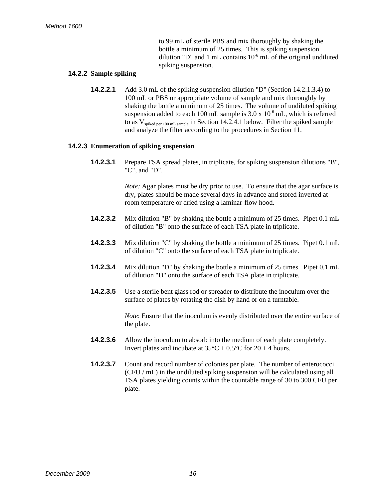to 99 mL of sterile PBS and mix thoroughly by shaking the bottle a minimum of 25 times. This is spiking suspension dilution "D" and 1 mL contains  $10^{-6}$  mL of the original undiluted spiking suspension.

#### **14.2.2 Sample spiking**

**14.2.2.1** Add 3.0 mL of the spiking suspension dilution "D" (Section 14.2.1.3.4) to 100 mL or PBS or appropriate volume of sample and mix thoroughly by shaking the bottle a minimum of 25 times. The volume of undiluted spiking suspension added to each 100 mL sample is  $3.0 \times 10^{-6}$  mL, which is referred to as  $V_{splied per 100 mL sample}$  in Section 14.2.4.1 below. Filter the spiked sample and analyze the filter according to the procedures in Section 11.

#### **14.2.3 Enumeration of spiking suspension**

**14.2.3.1** Prepare TSA spread plates, in triplicate, for spiking suspension dilutions "B", "C", and "D".

> *Note:* Agar plates must be dry prior to use. To ensure that the agar surface is dry, plates should be made several days in advance and stored inverted at room temperature or dried using a laminar-flow hood.

- **14.2.3.2** Mix dilution "B" by shaking the bottle a minimum of 25 times. Pipet 0.1 mL of dilution "B" onto the surface of each TSA plate in triplicate.
- **14.2.3.3** Mix dilution "C" by shaking the bottle a minimum of 25 times. Pipet 0.1 mL of dilution "C" onto the surface of each TSA plate in triplicate.
- **14.2.3.4** Mix dilution "D" by shaking the bottle a minimum of 25 times. Pipet 0.1 mL of dilution "D" onto the surface of each TSA plate in triplicate.
- **14.2.3.5** Use a sterile bent glass rod or spreader to distribute the inoculum over the surface of plates by rotating the dish by hand or on a turntable.

*Note*: Ensure that the inoculum is evenly distributed over the entire surface of the plate.

- **14.2.3.6** Allow the inoculum to absorb into the medium of each plate completely. Invert plates and incubate at  $35^{\circ}$ C  $\pm$  0.5°C for 20  $\pm$  4 hours.
- **14.2.3.7** Count and record number of colonies per plate. The number of enterococci (CFU / mL) in the undiluted spiking suspension will be calculated using all TSA plates yielding counts within the countable range of 30 to 300 CFU per plate.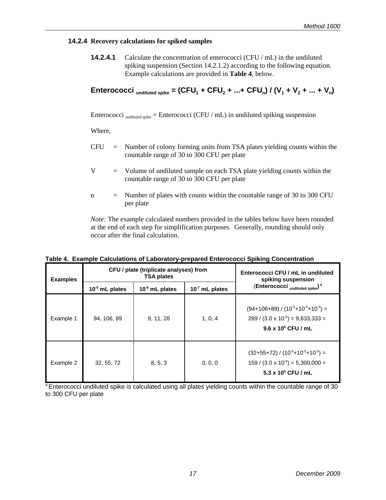#### **14.2.4 Recovery calculations for spiked samples**

**14.2.4.1** Calculate the concentration of enterococci (CFU / mL) in the undiluted spiking suspension (Section 14.2.1.2) according to the following equation. Example calculations are provided in **Table 4**, below.

$$
Enterococci_{\text{undiluted spike}} = (CFU_1 + CFU_2 + ... + CFU_n) / (V_1 + V_2 + ... + V_n)
$$

Enterococci undiluted spike = Enterococci (CFU / mL) in undiluted spiking suspension

Where,

- $CFU =$  Number of colony forming units from TSA plates yielding counts within the countable range of 30 to 300 CFU per plate
- V = Volume of undiluted sample on each TSA plate yielding counts within the countable range of 30 to 300 CFU per plate
- $n =$  Number of plates with counts within the countable range of 30 to 300 CFU per plate

*Note:* The example calculated numbers provided in the tables below have been rounded at the end of each step for simplification purposes. Generally, rounding should only occur after the final calculation.

| <b>Examples</b> | CFU / plate (triplicate analyses) from<br><b>TSA plates</b> |                  | Enterococci CFU / mL in undiluted<br>spiking suspension |                                                                                                                         |
|-----------------|-------------------------------------------------------------|------------------|---------------------------------------------------------|-------------------------------------------------------------------------------------------------------------------------|
|                 | $10-5$ mL plates                                            | $10-6$ mL plates | $107$ mL plates                                         | (Enterococci undiluted spike) <sup>a</sup>                                                                              |
| Example 1       | 94, 106, 89                                                 | 9, 11, 28        | 1, 0, 4                                                 | $(94+106+89) / (10^{-5}+10^{-5}+10^{-5}) =$<br>$289 / (3.0 \times 10^{-5}) = 9,633,333 =$<br>$9.6 \times 10^6$ CFU / mL |
| Example 2       | 32, 55, 72                                                  | 8, 5, 3          | 0, 0, 0                                                 | $(32+55+72) / (10^{-5}+10^{-5}+10^{-5}) =$<br>$159 / (3.0 \times 10^{-5}) = 5,300,000 =$<br>5.3 x $10^6$ CFU / mL       |

#### **Table 4. Example Calculations of Laboratory-prepared Enterococci Spiking Concentration**

<sup>a</sup> Enterococci undiluted spike is calculated using all plates yielding counts within the countable range of 30 to 300 CFU per plate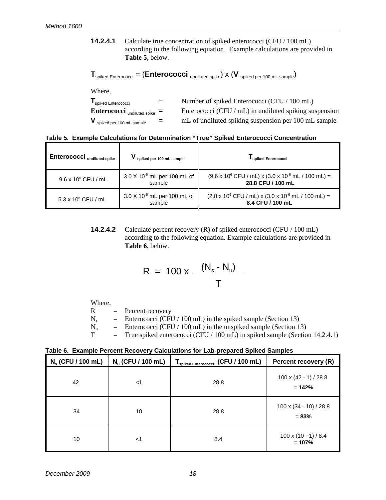**14.2.4.1** Calculate true concentration of spiked enterococci (CFU / 100 mL) according to the following equation. Example calculations are provided in **Table 5,** below.

 $T_{spiked\,Enterococci} = (Enterococci\text{ undiluted spike}) \times (V\text{spiked per 100 mL sample})$ 

Where,

| spiked Enterococci                                                 | $=$ | Number of spiked Enterococci (CFU / 100 mL)               |
|--------------------------------------------------------------------|-----|-----------------------------------------------------------|
| <b>Enterococci</b> $_{undiluted spike}$ =                          |     | Enterococci (CFU / $mL$ ) in undiluted spiking suspension |
| ${\mathsf V}_{\mathsf{\scriptstyle{spiked\,per\,100\,mL\,sample}}$ | $=$ | mL of undiluted spiking suspension per 100 mL sample      |

|  |  |  |  |  |  |  |  | Table 5. Example Calculations for Determination "True" Spiked Enterococci Concentration |
|--|--|--|--|--|--|--|--|-----------------------------------------------------------------------------------------|
|--|--|--|--|--|--|--|--|-----------------------------------------------------------------------------------------|

| Enterococci <sub>undiluted spike</sub> | spiked per 100 mL sample                          | spiked Enterococci                                                                                                    |
|----------------------------------------|---------------------------------------------------|-----------------------------------------------------------------------------------------------------------------------|
| 9.6 x 10° CFU / mL                     | $3.0 X 10^{-6}$ mL per 100 mL of<br>sample        | $(9.6 \times 10^6 \text{ CFU} / \text{mL}) \times (3.0 \times 10^6 \text{mL} / 100 \text{mL}) =$<br>28.8 CFU / 100 mL |
| $5.3 \times 10^6$ CFU / mL             | 3.0 X 10 <sup>-6</sup> mL per 100 mL of<br>sample | $(2.8 \times 10^6 \text{ CFU} / \text{mL}) \times (3.0 \times 10^6 \text{mL} / 100 \text{mL}) =$<br>8.4 CFU / 100 mL  |

**14.2.4.2** Calculate percent recovery (R) of spiked enterococci (CFU / 100 mL) according to the following equation. Example calculations are provided in **Table 6**, below.

$$
R = 100 \times \frac{(N_s - N_u)}{T}
$$

Where,

 $R =$  Percent recovery  $N_s$  = Enterococci (CFU / 100 mL) in the spiked sample (Section 13)<br>  $N_u$  = Enterococci (CFU / 100 mL) in the unspiked sample (Section 11)  $N_u$  = Enterococci (CFU / 100 mL) in the unspiked sample (Section 13)<br>
T = True spiked enterococci (CFU / 100 mL) in spiked sample (Section True spiked enterococci (CFU / 100 mL) in spiked sample (Section 14.2.4.1)

| Table 6. Example Percent Recovery Calculations for Lab-prepared Spiked Samples |  |  |
|--------------------------------------------------------------------------------|--|--|
|--------------------------------------------------------------------------------|--|--|

| $N_s$ (CFU / 100 mL) | N <sub>u</sub> (CFU / 100 mL) | T <sub>spiked Enterococci</sub> (CFU / 100 mL) | Percent recovery (R)                     |
|----------------------|-------------------------------|------------------------------------------------|------------------------------------------|
| 42                   | <1                            | 28.8                                           | $100 \times (42 - 1) / 28.8$<br>$= 142%$ |
| 34                   | 10                            | 28.8                                           | $100 \times (34 - 10) / 28.8$<br>$= 83%$ |
| 10                   | <1                            | 8.4                                            | $100 \times (10 - 1) / 8.4$<br>$= 107%$  |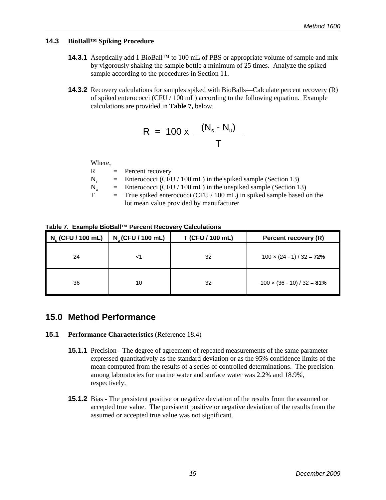### <span id="page-24-0"></span>**14.3 BioBall™ Spiking Procedure**

- **14.3.1** Aseptically add 1 BioBall™ to 100 mL of PBS or appropriate volume of sample and mix by vigorously shaking the sample bottle a minimum of 25 times. Analyze the spiked sample according to the procedures in Section 11.
- **14.3.2** Recovery calculations for samples spiked with BioBalls—Calculate percent recovery (R) of spiked enterococci (CFU / 100 mL) according to the following equation. Example calculations are provided in **Table 7,** below.

$$
R = 100 \times \frac{(N_s - N_u)}{T}
$$

Where,

| R   | $=$ Percent recovery                                                     |
|-----|--------------------------------------------------------------------------|
| N.  | $\equiv$ Enterococci (CFU / 100 mL) in the spiked sample (Section 13)    |
| N., | $\equiv$ Enterococci (CFU / 100 mL) in the unspiked sample (Section 13)  |
| T   | $=$ True spiked enterococci (CFU / 100 mL) in spiked sample based on the |
|     | lot mean value provided by manufacturer                                  |

#### **Table 7. Example BioBall™ Percent Recovery Calculations**

| $N_s$ (CFU / 100 mL) | $N_{\text{u}}$ (CFU / 100 mL) | T (CFU / 100 mL) | Percent recovery (R)               |
|----------------------|-------------------------------|------------------|------------------------------------|
| 24                   |                               | 32               | $100 \times (24 - 1) / 32 = 72\%$  |
| 36                   | 10                            | 32               | $100 \times (36 - 10) / 32 = 81\%$ |

### **15.0 Method Performance**

#### **15.1 Performance Characteristics** (Reference 18.4)

- **15.1.1** Precision The degree of agreement of repeated measurements of the same parameter expressed quantitatively as the standard deviation or as the 95% confidence limits of the mean computed from the results of a series of controlled determinations. The precision among laboratories for marine water and surface water was 2.2% and 18.9%, respectively.
- **15.1.2** Bias The persistent positive or negative deviation of the results from the assumed or accepted true value. The persistent positive or negative deviation of the results from the assumed or accepted true value was not significant.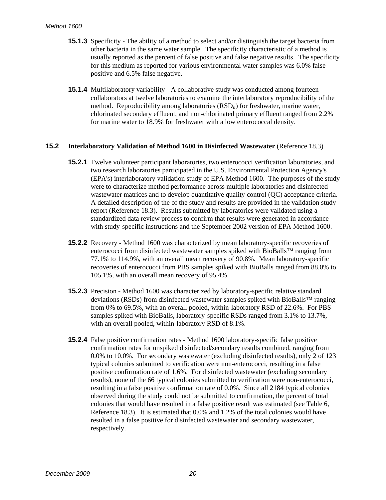- **15.1.3** Specificity The ability of a method to select and/or distinguish the target bacteria from other bacteria in the same water sample. The specificity characteristic of a method is usually reported as the percent of false positive and false negative results. The specificity for this medium as reported for various environmental water samples was 6.0% false positive and 6.5% false negative.
- **15.1.4** Multilaboratory variability A collaborative study was conducted among fourteen collaborators at twelve laboratories to examine the interlaboratory reproducibility of the method. Reproducibility among laboratories  $(RSD<sub>p</sub>)$  for freshwater, marine water, chlorinated secondary effluent, and non-chlorinated primary effluent ranged from 2.2% for marine water to 18.9% for freshwater with a low enterococcal density.

#### **15.2** Interlaboratory Validation of Method 1600 in Disinfected Wastewater (Reference 18.3)

- **15.2.1** Twelve volunteer participant laboratories, two enterococci verification laboratories, and two research laboratories participated in the U.S. Environmental Protection Agency's (EPA's) interlaboratory validation study of EPA Method 1600. The purposes of the study were to characterize method performance across multiple laboratories and disinfected wastewater matrices and to develop quantitative quality control (QC) acceptance criteria. A detailed description of the of the study and results are provided in the validation study report (Reference 18.3). Results submitted by laboratories were validated using a standardized data review process to confirm that results were generated in accordance with study-specific instructions and the September 2002 version of EPA Method 1600.
- **15.2.2** Recovery Method 1600 was characterized by mean laboratory-specific recoveries of enterococci from disinfected wastewater samples spiked with BioBalls™ ranging from 77.1% to 114.9%, with an overall mean recovery of 90.8%. Mean laboratory-specific recoveries of enterococci from PBS samples spiked with BioBalls ranged from 88.0% to 105.1%, with an overall mean recovery of 95.4%.
- **15.2.3** Precision Method 1600 was characterized by laboratory-specific relative standard deviations (RSDs) from disinfected wastewater samples spiked with BioBalls™ ranging from 0% to 69.5%, with an overall pooled, within-laboratory RSD of 22.6%. For PBS samples spiked with BioBalls, laboratory-specific RSDs ranged from 3.1% to 13.7%, with an overall pooled, within-laboratory RSD of 8.1%.
- **15.2.4** False positive confirmation rates Method 1600 laboratory-specific false positive confirmation rates for unspiked disinfected/secondary results combined, ranging from 0.0% to 10.0%. For secondary wastewater (excluding disinfected results), only 2 of 123 typical colonies submitted to verification were non-enterococci, resulting in a false positive confirmation rate of 1.6%. For disinfected wastewater (excluding secondary results), none of the 66 typical colonies submitted to verification were non-enterococci, resulting in a false positive confirmation rate of 0.0%. Since all 2184 typical colonies observed during the study could not be submitted to confirmation, the percent of total colonies that would have resulted in a false positive result was estimated (see Table 6, Reference 18.3). It is estimated that 0.0% and 1.2% of the total colonies would have resulted in a false positive for disinfected wastewater and secondary wastewater, respectively.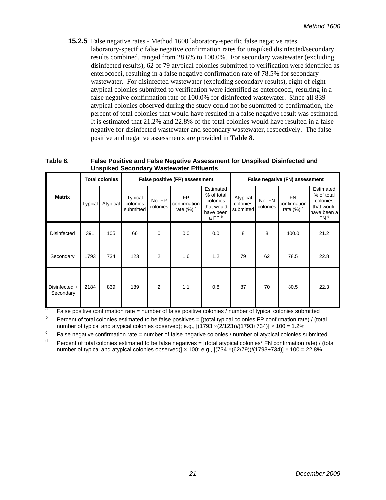**15.2.5** False negative rates - Method 1600 laboratory-specific false negative rates laboratory-specific false negative confirmation rates for unspiked disinfected/secondary results combined, ranged from 28.6% to 100.0%. For secondary wastewater (excluding disinfected results), 62 of 79 atypical colonies submitted to verification were identified as enterococci, resulting in a false negative confirmation rate of 78.5% for secondary wastewater. For disinfected wastewater (excluding secondary results), eight of eight atypical colonies submitted to verification were identified as enterococci, resulting in a false negative confirmation rate of 100.0% for disinfected wastewater. Since all 839 atypical colonies observed during the study could not be submitted to confirmation, the percent of total colonies that would have resulted in a false negative result was estimated. It is estimated that 21.2% and 22.8% of the total colonies would have resulted in a false negative for disinfected wastewater and secondary wastewater, respectively. The false positive and negative assessments are provided in **Table 8**.

#### **Table 8. False Positive and False Negative Assessment for Unspiked Disinfected and Unspiked Secondary Wastewater Effluents**

|                              | <b>Total colonies</b> |          | False positive (FP) assessment   |                    |                                                |                                                                                     | False negative (FN) assessment    |                    |                                             |                                                                                     |
|------------------------------|-----------------------|----------|----------------------------------|--------------------|------------------------------------------------|-------------------------------------------------------------------------------------|-----------------------------------|--------------------|---------------------------------------------|-------------------------------------------------------------------------------------|
| <b>Matrix</b>                | Typical               | Atypical | Typical<br>colonies<br>submitted | No. FP<br>colonies | FP<br>confirmation<br>rate $(\%)$ <sup>a</sup> | Estimated<br>% of total<br>colonies<br>that would<br>have been<br>a FP <sup>b</sup> | Atypical<br>colonies<br>submitted | No. FN<br>colonies | FN<br>confirmation<br>rate $(\%)$ $\degree$ | Estimated<br>% of total<br>colonies<br>that would<br>have been a<br>FN <sup>d</sup> |
| Disinfected                  | 391                   | 105      | 66                               | 0                  | 0.0                                            | 0.0                                                                                 | 8                                 | 8                  | 100.0                                       | 21.2                                                                                |
| Secondary                    | 1793                  | 734      | 123                              | 2                  | 1.6                                            | 1.2                                                                                 | 79                                | 62                 | 78.5                                        | 22.8                                                                                |
| Disinfected $+$<br>Secondary | 2184                  | 839      | 189                              | $\overline{2}$     | 1.1                                            | 0.8                                                                                 | 87                                | 70                 | 80.5                                        | 22.3                                                                                |

False positive confirmation rate = number of false positive colonies / number of typical colonies submitted

 $b$  Percent of total colonies estimated to be false positives = [(total typical colonies FP confirmation rate) / (total number of typical and atypical colonies observed); e.g.,  $[(1793 \times (2/123))/(1793+734)] \times 100 = 1.2\%$ 

c False negative confirmation rate = number of false negative colonies / number of atypical colonies submitted

 $d$  Percent of total colonies estimated to be false negatives = [(total atypical colonies\* FN confirmation rate) / (total number of typical and atypical colonies observed)]  $\times$  100; e.g.,  $[(734 \times (62/79))/(1793+734)] \times 100 = 22.8\%$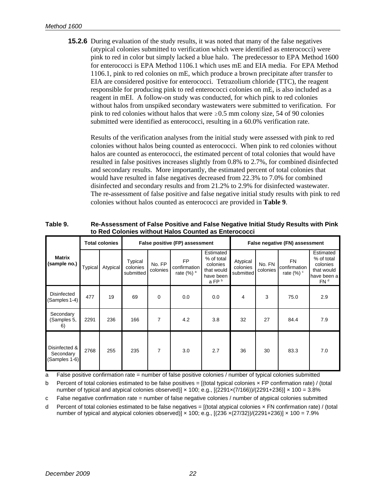**15.2.6** During evaluation of the study results, it was noted that many of the false negatives (atypical colonies submitted to verification which were identified as enterococci) were pink to red in color but simply lacked a blue halo. The predecessor to EPA Method 1600 for enterococci is EPA Method 1106.1 which uses mE and EIA media. For EPA Method 1106.1, pink to red colonies on mE, which produce a brown precipitate after transfer to EIA are considered positive for enterococci. Tetrazolium chloride (TTC), the reagent responsible for producing pink to red enterococci colonies on mE, is also included as a reagent in mEI. A follow-on study was conducted, for which pink to red colonies without halos from unspiked secondary wastewaters were submitted to verification. For pink to red colonies without halos that were  $\geq 0.5$  mm colony size, 54 of 90 colonies submitted were identified as enterococci, resulting in a 60.0% verification rate.

Results of the verification analyses from the initial study were assessed with pink to red colonies without halos being counted as enterococci. When pink to red colonies without halos are counted as enterococci, the estimated percent of total colonies that would have resulted in false positives increases slightly from 0.8% to 2.7%, for combined disinfected and secondary results. More importantly, the estimated percent of total colonies that would have resulted in false negatives decreased from 22.3% to 7.0% for combined disinfected and secondary results and from 21.2% to 2.9% for disinfected wastewater. The re-assessment of false positive and false negative initial study results with pink to red colonies without halos counted as enterococci are provided in **Table 9**.

|                                             |         | <b>Total colonies</b> |                                  | False positive (FP) assessment |                                               |                                                                                     |                                   | False negative (FN) assessment |                                                    |                                                                                     |  |
|---------------------------------------------|---------|-----------------------|----------------------------------|--------------------------------|-----------------------------------------------|-------------------------------------------------------------------------------------|-----------------------------------|--------------------------------|----------------------------------------------------|-------------------------------------------------------------------------------------|--|
| <b>Matrix</b><br>(sample no.)               | Typical | Atypical              | Typical<br>colonies<br>submitted | No. FP<br>colonies             | FP<br>confirmation<br>rate $(%)$ <sup>a</sup> | Estimated<br>% of total<br>colonies<br>that would<br>have been<br>a FP <sup>b</sup> | Atypical<br>colonies<br>submitted | No. FN<br>colonies             | <b>FN</b><br>confirmation<br>rate $(\%)$ $\degree$ | Estimated<br>% of total<br>colonies<br>that would<br>have been a<br>FN <sup>d</sup> |  |
| Disinfected<br>$(Samples 1-4)$              | 477     | 19                    | 69                               | 0                              | 0.0                                           | 0.0                                                                                 | 4                                 | 3                              | 75.0                                               | 2.9                                                                                 |  |
| Secondary<br>(Samples 5,<br>6)              | 2291    | 236                   | 166                              | 7                              | 4.2                                           | 3.8                                                                                 | 32                                | 27                             | 84.4                                               | 7.9                                                                                 |  |
| Disinfected &<br>Secondary<br>(Samples 1-6) | 2768    | 255                   | 235                              | 7                              | 3.0                                           | 2.7                                                                                 | 36                                | 30                             | 83.3                                               | 7.0                                                                                 |  |

**Table 9. Re-Assessment of False Positive and False Negative Initial Study Results with Pink to Red Colonies without Halos Counted as Enterococci** 

a False positive confirmation rate = number of false positive colonies / number of typical colonies submitted

b Percent of total colonies estimated to be false positives  $=$  [(total typical colonies  $\times$  FP confirmation rate) / (total number of typical and atypical colonies observed)]  $\times$  100; e.g.,  $[(2291\times(7/166))/(2291+236)] \times 100 = 3.8\%$ 

False negative confirmation rate = number of false negative colonies / number of atypical colonies submitted c

d Percent of total colonies estimated to be false negatives = [(total atypical colonies × FN confirmation rate) / (total number of typical and atypical colonies observed)]  $\times$  100; e.g.,  $[(236 \times (27/32))/(2291+236)] \times 100 = 7.9\%$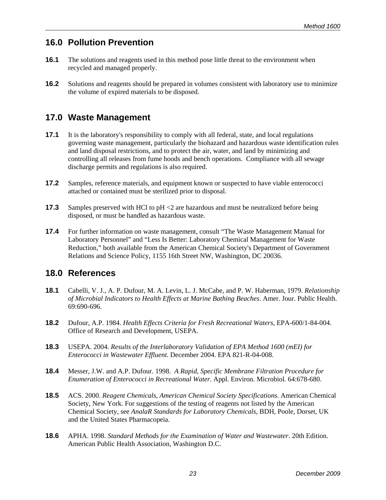### <span id="page-28-0"></span>**16.0 Pollution Prevention**

- **16.1** The solutions and reagents used in this method pose little threat to the environment when recycled and managed properly.
- **16.2** Solutions and reagents should be prepared in volumes consistent with laboratory use to minimize the volume of expired materials to be disposed.

### **17.0 Waste Management**

- **17.1** It is the laboratory's responsibility to comply with all federal, state, and local regulations governing waste management, particularly the biohazard and hazardous waste identification rules and land disposal restrictions, and to protect the air, water, and land by minimizing and controlling all releases from fume hoods and bench operations. Compliance with all sewage discharge permits and regulations is also required.
- **17.2** Samples, reference materials, and equipment known or suspected to have viable enterococci attached or contained must be sterilized prior to disposal.
- **17.3** Samples preserved with HCl to pH <2 are hazardous and must be neutralized before being disposed, or must be handled as hazardous waste.
- **17.4** For further information on waste management, consult "The Waste Management Manual for Laboratory Personnel" and "Less Is Better: Laboratory Chemical Management for Waste Reduction," both available from the American Chemical Society's Department of Government Relations and Science Policy, 1155 16th Street NW, Washington, DC 20036.

### **18.0 References**

- **18.1** Cabelli, V. J., A. P. Dufour, M. A. Levin, L. J. McCabe, and P. W. Haberman, 1979. *Relationship of Microbial Indicators to Health Effects at Marine Bathing Beaches*. Amer. Jour. Public Health. 69:690-696.
- **18.2** Dufour, A.P. 1984. *Health Effects Criteria for Fresh Recreational Waters,* EPA-600/1-84-004. Office of Research and Development, USEPA.
- **18.3** USEPA. 2004. *Results of the Interlaboratory Validation of EPA Method 1600 (mEI) for Enterococci in Wastewater Effluent.* December 2004. EPA 821-R-04-008.
- **18.4** Messer, J.W. and A.P. Dufour. 1998. *A Rapid, Specific Membrane Filtration Procedure for Enumeration of Enterococci in Recreational Water.* Appl. Environ. Microbiol*.* 64:678-680.
- **18.5** ACS. 2000. *Reagent Chemicals, American Chemical Society Specifications*. American Chemical Society, New York. For suggestions of the testing of reagents not listed by the American Chemical Society, see *AnalaR Standards for Laboratory Chemicals*, BDH, Poole, Dorset, UK and the United States Pharmacopeia.
- **18.6** APHA. 1998. *Standard Methods for the Examination of Water and Wastewater*. 20th Edition. American Public Health Association, Washington D.C.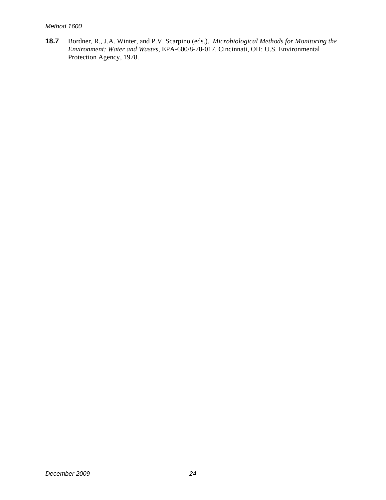**18.7** Bordner, R., J.A. Winter, and P.V. Scarpino (eds.). *Microbiological Methods for Monitoring the Environment: Water and Wastes*, EPA-600/8-78-017. Cincinnati, OH: U.S. Environmental Protection Agency, 1978.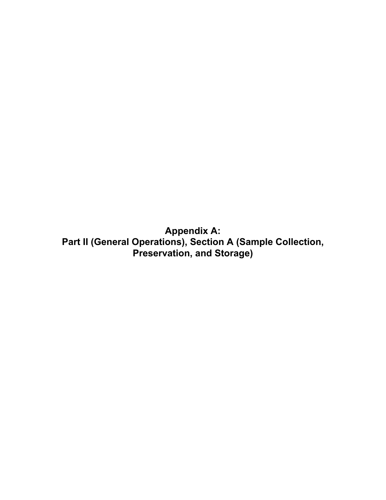<span id="page-30-0"></span>**Appendix A: Part II (General Operations), Section A (Sample Collection, Preservation, and Storage)**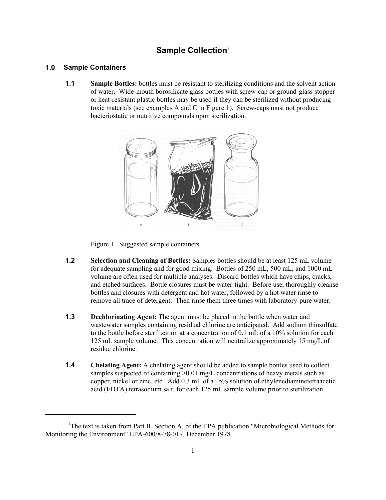### **Sample Collection**<sup>1</sup>

#### **1.0 Sample Containers**

**1.1 Sample Bottles:** bottles must be resistant to sterilizing conditions and the solvent action of water. Wide-mouth borosilicate glass bottles with screw-cap or ground-glass stopper or heat-resistant plastic bottles may be used if they can be sterilized without producing toxic materials (see examples A and C in Figure 1). Screw-caps must not produce bacteriostatic or nutritive compounds upon sterilization.



Figure 1. Suggested sample containers.

- **1.2 Selection and Cleaning of Bottles:** Samples bottles should be at least 125 mL volume for adequate sampling and for good mixing. Bottles of 250 mL, 500 mL, and 1000 mL volume are often used for multiple analyses. Discard bottles which have chips, cracks, and etched surfaces. Bottle closures must be water-tight. Before use, thoroughly cleanse bottles and closures with detergent and hot water, followed by a hot water rinse to remove all trace of detergent. Then rinse them three times with laboratory-pure water.
- **1.3 Dechlorinating Agent:** The agent must be placed in the bottle when water and wastewater samples containing residual chlorine are anticipated. Add sodium thiosulfate to the bottle before sterilization at a concentration of 0.1 mL of a 10% solution for each 125 mL sample volume. This concentration will neutralize approximately 15 mg/L of residue chlorine.
- **1.4** Chelating Agent: A chelating agent should be added to sample bottles used to collect samples suspected of containing >0.01 mg/L concentrations of heavy metals such as copper, nickel or zinc, etc. Add 0.3 mL of a 15% solution of ethylenediaminetetraacetic acid (EDTA) tetrasodium salt, for each 125 mL sample volume prior to sterilization.

<sup>&</sup>lt;sup>1</sup>The text is taken from Part II, Section A, of the EPA publication "Microbiological Methods for Monitoring the Environment" EPA-600/8-78-017, December 1978.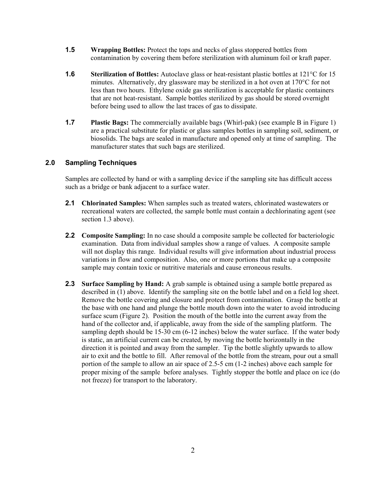- **1.5 Wrapping Bottles:** Protect the tops and necks of glass stoppered bottles from contamination by covering them before sterilization with aluminum foil or kraft paper.
- **1.6** Sterilization of Bottles: Autoclave glass or heat-resistant plastic bottles at 121<sup>o</sup>C for 15 minutes. Alternatively, dry glassware may be sterilized in a hot oven at 170°C for not less than two hours. Ethylene oxide gas sterilization is acceptable for plastic containers that are not heat-resistant. Sample bottles sterilized by gas should be stored overnight before being used to allow the last traces of gas to dissipate.
- **1.7 Plastic Bags:** The commercially available bags (Whirl-pak) (see example B in Figure 1) are a practical substitute for plastic or glass samples bottles in sampling soil, sediment, or biosolids. The bags are sealed in manufacture and opened only at time of sampling. The manufacturer states that such bags are sterilized.

#### **2.0 Sampling Techniques**

Samples are collected by hand or with a sampling device if the sampling site has difficult access such as a bridge or bank adjacent to a surface water.

- **2.1 Chlorinated Samples:** When samples such as treated waters, chlorinated wastewaters or recreational waters are collected, the sample bottle must contain a dechlorinating agent (see section 1.3 above).
- **2.2 Composite Sampling:** In no case should a composite sample be collected for bacteriologic examination. Data from individual samples show a range of values. A composite sample will not display this range. Individual results will give information about industrial process variations in flow and composition. Also, one or more portions that make up a composite sample may contain toxic or nutritive materials and cause erroneous results.
- **2.3 Surface Sampling by Hand:** A grab sample is obtained using a sample bottle prepared as described in (1) above. Identify the sampling site on the bottle label and on a field log sheet. Remove the bottle covering and closure and protect from contamination. Grasp the bottle at the base with one hand and plunge the bottle mouth down into the water to avoid introducing surface scum (Figure 2). Position the mouth of the bottle into the current away from the hand of the collector and, if applicable, away from the side of the sampling platform. The sampling depth should be 15-30 cm (6-12 inches) below the water surface. If the water body is static, an artificial current can be created, by moving the bottle horizontally in the direction it is pointed and away from the sampler. Tip the bottle slightly upwards to allow air to exit and the bottle to fill. After removal of the bottle from the stream, pour out a small portion of the sample to allow an air space of 2.5-5 cm (1-2 inches) above each sample for proper mixing of the sample before analyses. Tightly stopper the bottle and place on ice (do not freeze) for transport to the laboratory.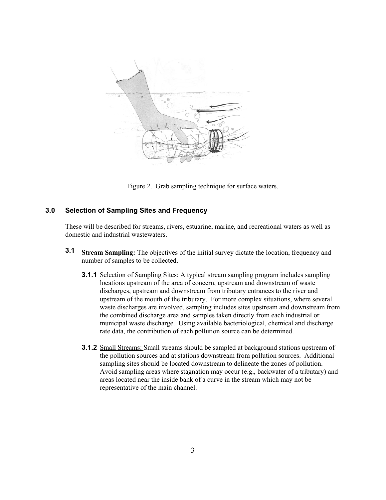

Figure 2. Grab sampling technique for surface waters.

#### **3.0 Selection of Sampling Sites and Frequency**

These will be described for streams, rivers, estuarine, marine, and recreational waters as well as domestic and industrial wastewaters.

- **3.1 Stream Sampling:** The objectives of the initial survey dictate the location, frequency and number of samples to be collected.
	- **3.1.1** Selection of Sampling Sites: A typical stream sampling program includes sampling locations upstream of the area of concern, upstream and downstream of waste discharges, upstream and downstream from tributary entrances to the river and upstream of the mouth of the tributary. For more complex situations, where several waste discharges are involved, sampling includes sites upstream and downstream from the combined discharge area and samples taken directly from each industrial or municipal waste discharge. Using available bacteriological, chemical and discharge rate data, the contribution of each pollution source can be determined.
	- **3.1.2** Small Streams: Small streams should be sampled at background stations upstream of the pollution sources and at stations downstream from pollution sources. Additional sampling sites should be located downstream to delineate the zones of pollution. Avoid sampling areas where stagnation may occur (e.g., backwater of a tributary) and areas located near the inside bank of a curve in the stream which may not be representative of the main channel.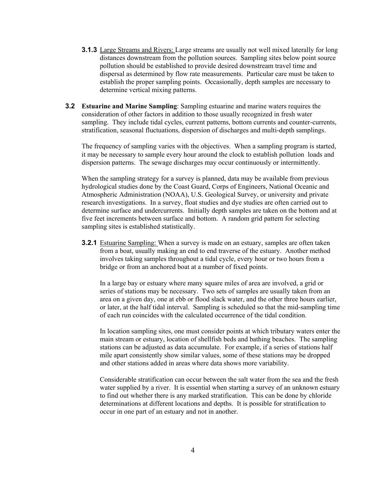- **3.1.3** Large Streams and Rivers: Large streams are usually not well mixed laterally for long distances downstream from the pollution sources. Sampling sites below point source pollution should be established to provide desired downstream travel time and dispersal as determined by flow rate measurements. Particular care must be taken to establish the proper sampling points. Occasionally, depth samples are necessary to determine vertical mixing patterns.
- **3.2 Estuarine and Marine Sampling**: Sampling estuarine and marine waters requires the consideration of other factors in addition to those usually recognized in fresh water sampling. They include tidal cycles, current patterns, bottom currents and counter-currents, stratification, seasonal fluctuations, dispersion of discharges and multi-depth samplings.

The frequency of sampling varies with the objectives. When a sampling program is started, it may be necessary to sample every hour around the clock to establish pollution loads and dispersion patterns. The sewage discharges may occur continuously or intermittently.

When the sampling strategy for a survey is planned, data may be available from previous hydrological studies done by the Coast Guard, Corps of Engineers, National Oceanic and Atmospheric Administration (NOAA), U.S. Geological Survey, or university and private research investigations. In a survey, float studies and dye studies are often carried out to determine surface and undercurrents. Initially depth samples are taken on the bottom and at five feet increments between surface and bottom. A random grid pattern for selecting sampling sites is established statistically.

**3.2.1** Estuarine Sampling: When a survey is made on an estuary, samples are often taken from a boat, usually making an end to end traverse of the estuary. Another method involves taking samples throughout a tidal cycle, every hour or two hours from a bridge or from an anchored boat at a number of fixed points.

In a large bay or estuary where many square miles of area are involved, a grid or series of stations may be necessary. Two sets of samples are usually taken from an area on a given day, one at ebb or flood slack water, and the other three hours earlier, or later, at the half tidal interval. Sampling is scheduled so that the mid-sampling time of each run coincides with the calculated occurrence of the tidal condition.

In location sampling sites, one must consider points at which tributary waters enter the main stream or estuary, location of shellfish beds and bathing beaches. The sampling stations can be adjusted as data accumulate. For example, if a series of stations half mile apart consistently show similar values, some of these stations may be dropped and other stations added in areas where data shows more variability.

Considerable stratification can occur between the salt water from the sea and the fresh water supplied by a river. It is essential when starting a survey of an unknown estuary to find out whether there is any marked stratification. This can be done by chloride determinations at different locations and depths. It is possible for stratification to occur in one part of an estuary and not in another.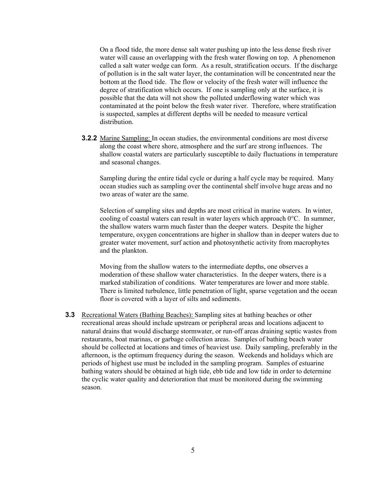On a flood tide, the more dense salt water pushing up into the less dense fresh river water will cause an overlapping with the fresh water flowing on top. A phenomenon called a salt water wedge can form. As a result, stratification occurs. If the discharge of pollution is in the salt water layer, the contamination will be concentrated near the bottom at the flood tide. The flow or velocity of the fresh water will influence the degree of stratification which occurs. If one is sampling only at the surface, it is possible that the data will not show the polluted underflowing water which was contaminated at the point below the fresh water river. Therefore, where stratification is suspected, samples at different depths will be needed to measure vertical distribution.

**3.2.2** Marine Sampling: In ocean studies, the environmental conditions are most diverse along the coast where shore, atmosphere and the surf are strong influences. The shallow coastal waters are particularly susceptible to daily fluctuations in temperature and seasonal changes.

Sampling during the entire tidal cycle or during a half cycle may be required. Many ocean studies such as sampling over the continental shelf involve huge areas and no two areas of water are the same.

Selection of sampling sites and depths are most critical in marine waters. In winter, cooling of coastal waters can result in water layers which approach 0°C. In summer, the shallow waters warm much faster than the deeper waters. Despite the higher temperature, oxygen concentrations are higher in shallow than in deeper waters due to greater water movement, surf action and photosynthetic activity from macrophytes and the plankton.

Moving from the shallow waters to the intermediate depths, one observes a moderation of these shallow water characteristics. In the deeper waters, there is a marked stabilization of conditions. Water temperatures are lower and more stable. There is limited turbulence, little penetration of light, sparse vegetation and the ocean floor is covered with a layer of silts and sediments.

**3.3** Recreational Waters (Bathing Beaches): Sampling sites at bathing beaches or other recreational areas should include upstream or peripheral areas and locations adjacent to natural drains that would discharge stormwater, or run-off areas draining septic wastes from restaurants, boat marinas, or garbage collection areas. Samples of bathing beach water should be collected at locations and times of heaviest use. Daily sampling, preferably in the afternoon, is the optimum frequency during the season. Weekends and holidays which are periods of highest use must be included in the sampling program. Samples of estuarine bathing waters should be obtained at high tide, ebb tide and low tide in order to determine the cyclic water quality and deterioration that must be monitored during the swimming season.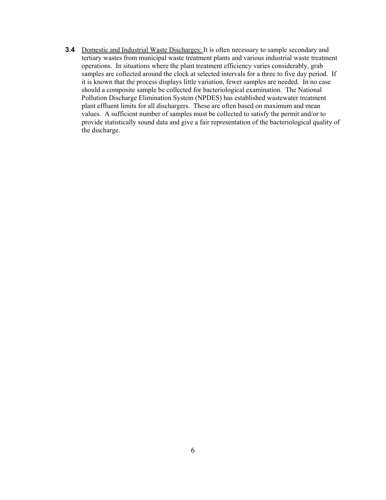**3.4** Domestic and Industrial Waste Discharges: It is often necessary to sample secondary and tertiary wastes from municipal waste treatment plants and various industrial waste treatment operations. In situations where the plant treatment efficiency varies considerably, grab samples are collected around the clock at selected intervals for a three to five day period. If it is known that the process displays little variation, fewer samples are needed. In no case should a composite sample be collected for bacteriological examination. The National Pollution Discharge Elimination System (NPDES) has established wastewater treatment plant effluent limits for all dischargers. These are often based on maximum and mean values. A sufficient number of samples must be collected to satisfy the permit and/or to provide statistically sound data and give a fair representation of the bacteriological quality of the discharge.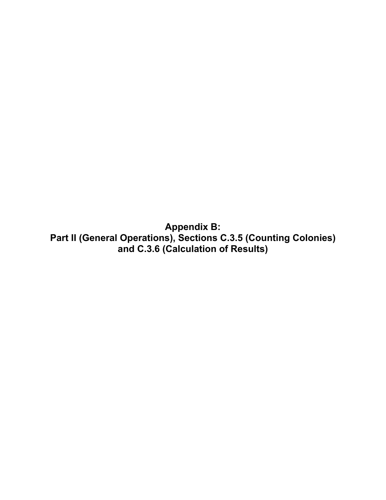<span id="page-37-0"></span>**Appendix B: Part II (General Operations), Sections C.3.5 (Counting Colonies) and C.3.6 (Calculation of Results)**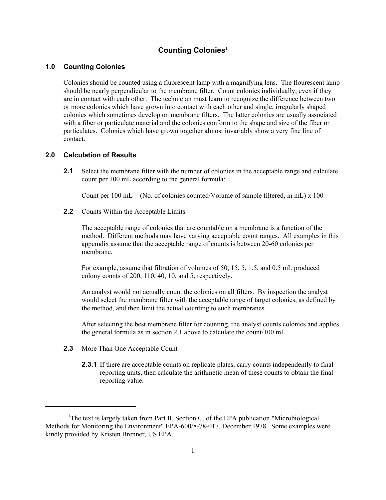#### **Counting Colonies**<sup>1</sup>

#### **1.0 Counting Colonies**

Colonies should be counted using a fluorescent lamp with a magnifying lens. The flourescent lamp should be nearly perpendicular to the membrane filter. Count colonies individually, even if they are in contact with each other. The technician must learn to recognize the difference between two or more colonies which have grown into contact with each other and single, irregularly shaped colonies which sometimes develop on membrane filters. The latter colonies are usually associated with a fiber or particulate material and the colonies conform to the shape and size of the fiber or particulates. Colonies which have grown together almost invariably show a very fine line of contact.

#### **2.0 Calculation of Results**

**2.1** Select the membrane filter with the number of colonies in the acceptable range and calculate count per 100 mL according to the general formula:

Count per  $100 \text{ mL} = (No. of colonies counted/Volume of sample filtered, in mL) \times 100$ 

**2.2** Counts Within the Acceptable Limits

The acceptable range of colonies that are countable on a membrane is a function of the method. Different methods may have varying acceptable count ranges. All examples in this appemdix assume that the acceptable range of counts is between 20-60 colonies per membrane.

For example, assume that filtration of volumes of 50, 15, 5, 1.5, and 0.5 mL produced colony counts of 200, 110, 40, 10, and 5, respectively.

An analyst would not actually count the colonies on all filters. By inspection the analyst would select the membrane filter with the acceptable range of target colonies, as defined by the method, and then limit the actual counting to such membranes.

After selecting the best membrane filter for counting, the analyst counts colonies and applies the general formula as in section 2.1 above to calculate the count/100 mL.

- **2.3** More Than One Acceptable Count
	- **2.3.1** If there are acceptable counts on replicate plates, carry counts independently to final reporting units, then calculate the arithmetic mean of these counts to obtain the final reporting value.

<sup>&</sup>lt;sup>1</sup>The text is largely taken from Part II, Section C, of the EPA publication "Microbiological Methods for Monitoring the Environment" EPA-600/8-78-017, December 1978. Some examples were kindly provided by Kristen Brenner, US EPA.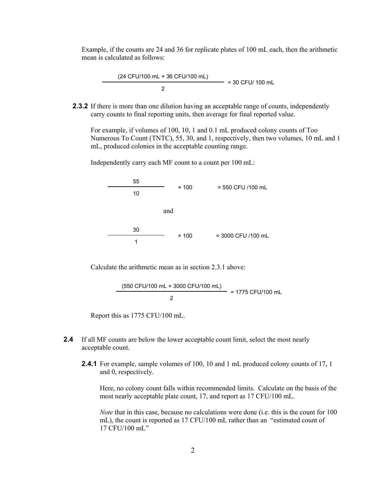Example, if the counts are 24 and 36 for replicate plates of 100 mL each, then the arithmetic mean is calculated as follows:

> (24 CFU/100 mL + 36 CFU/100 mL)  $= 30$  CFU/ 100 mL 2

**2.3.2** If there is more than one dilution having an acceptable range of counts, independently carry counts to final reporting units, then average for final reported value.

For example, if volumes of 100, 10, 1 and 0.1 mL produced colony counts of Too Numerous To Count (TNTC), 55, 30, and 1, respectively, then two volumes, 10 mL and 1 mL, produced colonies in the acceptable counting range.

Independently carry each MF count to a count per 100 mL:

55  $× 100 = 550$  CFU /100 mL 10 and 30  $\times$  100 = 3000 CFU /100 mL 1

Calculate the arithmetic mean as in section 2.3.1 above:

$$
\frac{(550 \text{ CFU}/100 \text{ mL} + 3000 \text{ CFU}/100 \text{ mL})}{2} = 1775 \text{ CFU}/100 \text{ mL}
$$

Report this as 1775 CFU/100 mL.

- **2.4** If all MF counts are below the lower acceptable count limit, select the most nearly acceptable count.
	- **2.4.1** For example, sample volumes of 100, 10 and 1 mL produced colony counts of 17, 1 and 0, respectively.

Here, no colony count falls within recommended limits. Calculate on the basis of the most nearly acceptable plate count, 17, and report as 17 CFU/100 mL.

*Note* that in this case, because no calculations were done (i.e. this is the count for 100 mL), the count is reported as 17 CFU/100 mL rather than an "estimated count of 17 CFU/100 mL"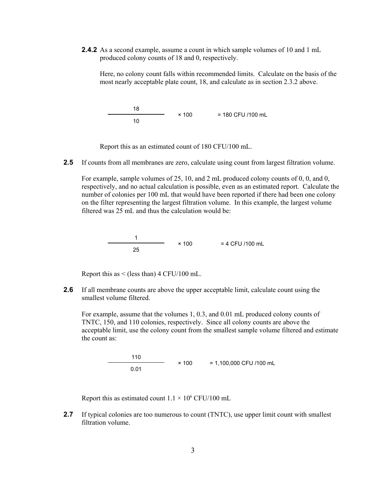**2.4.2** As a second example, assume a count in which sample volumes of 10 and 1 mL produced colony counts of 18 and 0, respectively.

Here, no colony count falls within recommended limits. Calculate on the basis of the most nearly acceptable plate count, 18, and calculate as in section 2.3.2 above.

18  $× 100 = 180$  CFU /100 mL 10

Report this as an estimated count of 180 CFU/100 mL.

**2.5** If counts from all membranes are zero, calculate using count from largest filtration volume.

For example, sample volumes of 25, 10, and 2 mL produced colony counts of 0, 0, and 0, respectively, and no actual calculation is possible, even as an estimated report. Calculate the number of colonies per 100 mL that would have been reported if there had been one colony on the filter representing the largest filtration volume. In this example, the largest volume filtered was 25 mL and thus the calculation would be:

$$
\begin{array}{c|c}\n1 & \times 100 & = 4 \text{ CFU} / 100 \text{ mL}\n\end{array}
$$

Report this as < (less than) 4 CFU/100 mL.

**2.6** If all membrane counts are above the upper acceptable limit, calculate count using the smallest volume filtered.

For example, assume that the volumes 1, 0.3, and 0.01 mL produced colony counts of TNTC, 150, and 110 colonies, respectively. Since all colony counts are above the acceptable limit, use the colony count from the smallest sample volume filtered and estimate the count as:

> 110  $× 100 = 1,100,000$  CFU /100 mL 0.01

Report this as estimated count  $1.1 \times 10^6$  CFU/100 mL

**2.7** If typical colonies are too numerous to count (TNTC), use upper limit count with smallest filtration volume.